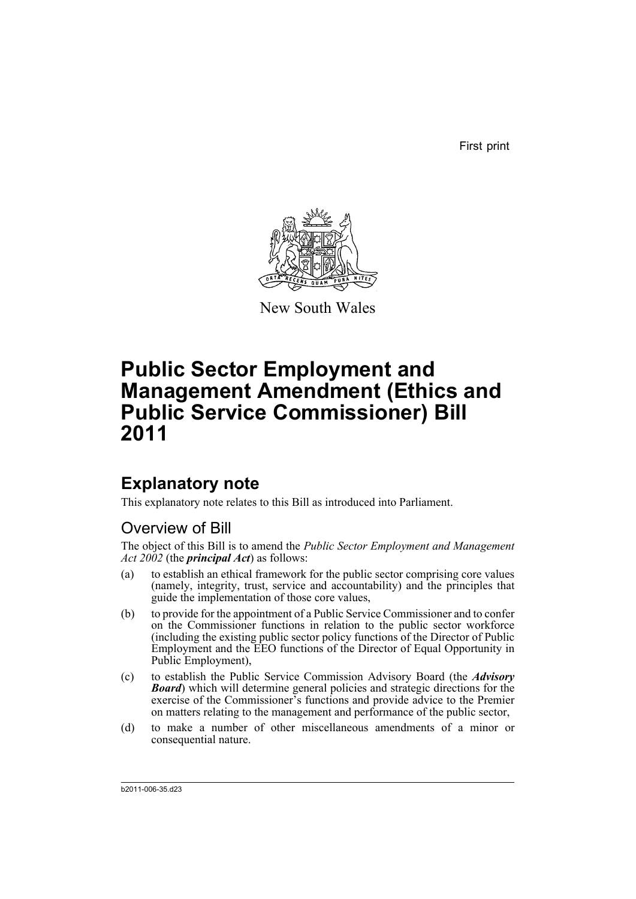First print



New South Wales

# **Public Sector Employment and Management Amendment (Ethics and Public Service Commissioner) Bill 2011**

# **Explanatory note**

This explanatory note relates to this Bill as introduced into Parliament.

## Overview of Bill

The object of this Bill is to amend the *Public Sector Employment and Management Act 2002* (the *principal Act*) as follows:

- (a) to establish an ethical framework for the public sector comprising core values (namely, integrity, trust, service and accountability) and the principles that guide the implementation of those core values,
- (b) to provide for the appointment of a Public Service Commissioner and to confer on the Commissioner functions in relation to the public sector workforce (including the existing public sector policy functions of the Director of Public Employment and the EEO functions of the Director of Equal Opportunity in Public Employment),
- (c) to establish the Public Service Commission Advisory Board (the *Advisory Board*) which will determine general policies and strategic directions for the exercise of the Commissioner's functions and provide advice to the Premier on matters relating to the management and performance of the public sector,
- (d) to make a number of other miscellaneous amendments of a minor or consequential nature.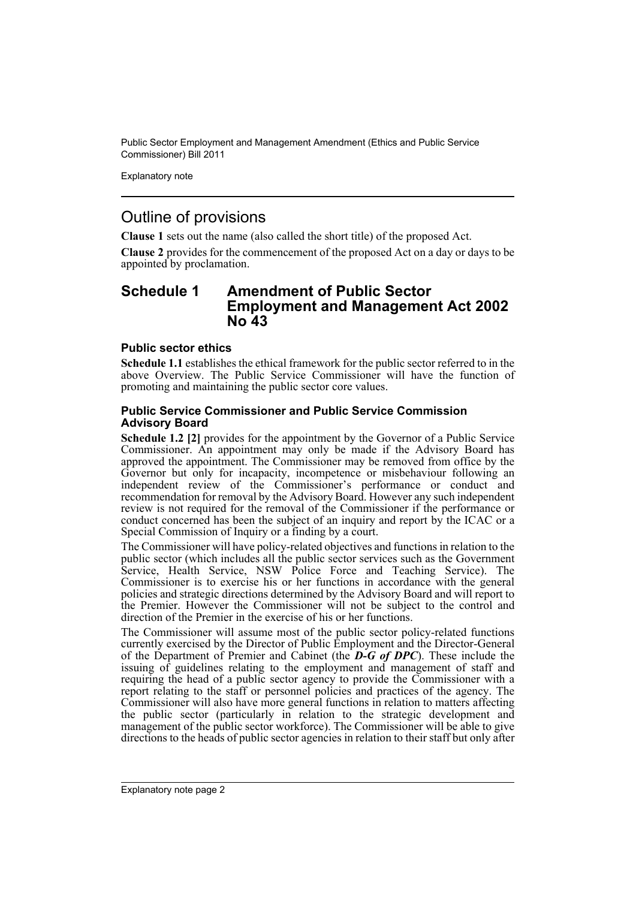Explanatory note

### Outline of provisions

**Clause 1** sets out the name (also called the short title) of the proposed Act.

**Clause 2** provides for the commencement of the proposed Act on a day or days to be appointed by proclamation.

### **Schedule 1 Amendment of Public Sector Employment and Management Act 2002 No 43**

### **Public sector ethics**

**Schedule 1.1** establishes the ethical framework for the public sector referred to in the above Overview. The Public Service Commissioner will have the function of promoting and maintaining the public sector core values.

### **Public Service Commissioner and Public Service Commission Advisory Board**

**Schedule 1.2 [2]** provides for the appointment by the Governor of a Public Service Commissioner. An appointment may only be made if the Advisory Board has approved the appointment. The Commissioner may be removed from office by the Governor but only for incapacity, incompetence or misbehaviour following an independent review of the Commissioner's performance or conduct and recommendation for removal by the Advisory Board. However any such independent review is not required for the removal of the Commissioner if the performance or conduct concerned has been the subject of an inquiry and report by the ICAC or a Special Commission of Inquiry or a finding by a court.

The Commissioner will have policy-related objectives and functions in relation to the public sector (which includes all the public sector services such as the Government Service, Health Service, NSW Police Force and Teaching Service). The Commissioner is to exercise his or her functions in accordance with the general policies and strategic directions determined by the Advisory Board and will report to the Premier. However the Commissioner will not be subject to the control and direction of the Premier in the exercise of his or her functions.

The Commissioner will assume most of the public sector policy-related functions currently exercised by the Director of Public Employment and the Director-General of the Department of Premier and Cabinet (the *D-G of DPC*). These include the issuing of guidelines relating to the employment and management of staff and requiring the head of a public sector agency to provide the Commissioner with a report relating to the staff or personnel policies and practices of the agency. The Commissioner will also have more general functions in relation to matters affecting the public sector (particularly in relation to the strategic development and management of the public sector workforce). The Commissioner will be able to give directions to the heads of public sector agencies in relation to their staff but only after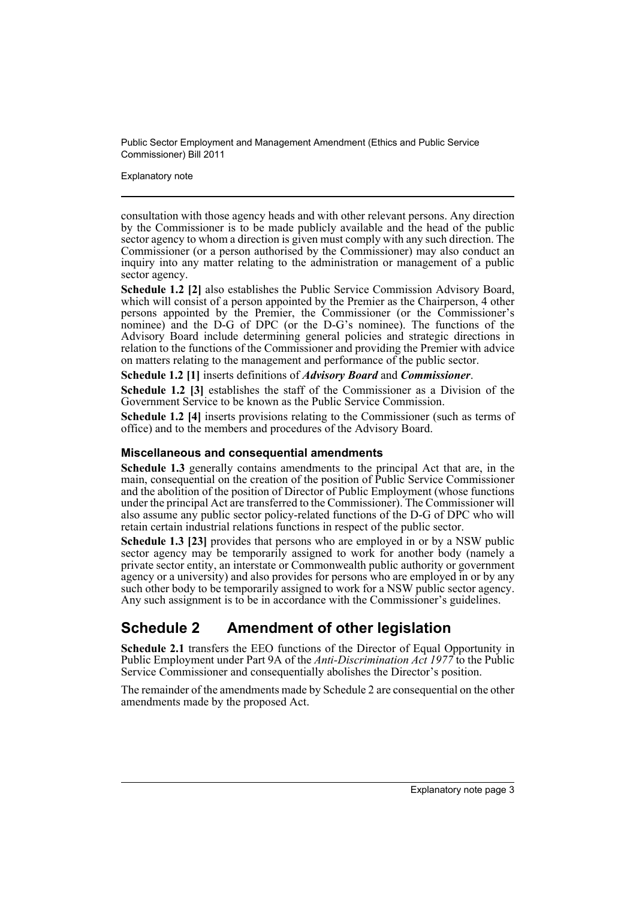Explanatory note

consultation with those agency heads and with other relevant persons. Any direction by the Commissioner is to be made publicly available and the head of the public sector agency to whom a direction is given must comply with any such direction. The Commissioner (or a person authorised by the Commissioner) may also conduct an inquiry into any matter relating to the administration or management of a public sector agency.

**Schedule 1.2 [2]** also establishes the Public Service Commission Advisory Board, which will consist of a person appointed by the Premier as the Chairperson, 4 other persons appointed by the Premier, the Commissioner (or the Commissioner's nominee) and the D-G of DPC (or the D-G's nominee). The functions of the Advisory Board include determining general policies and strategic directions in relation to the functions of the Commissioner and providing the Premier with advice on matters relating to the management and performance of the public sector.

**Schedule 1.2 [1]** inserts definitions of *Advisory Board* and *Commissioner*.

**Schedule 1.2 [3]** establishes the staff of the Commissioner as a Division of the Government Service to be known as the Public Service Commission.

**Schedule 1.2 [4]** inserts provisions relating to the Commissioner (such as terms of office) and to the members and procedures of the Advisory Board.

### **Miscellaneous and consequential amendments**

**Schedule 1.3** generally contains amendments to the principal Act that are, in the main, consequential on the creation of the position of Public Service Commissioner and the abolition of the position of Director of Public Employment (whose functions under the principal Act are transferred to the Commissioner). The Commissioner will also assume any public sector policy-related functions of the D-G of DPC who will retain certain industrial relations functions in respect of the public sector.

**Schedule 1.3 [23]** provides that persons who are employed in or by a NSW public sector agency may be temporarily assigned to work for another body (namely a private sector entity, an interstate or Commonwealth public authority or government agency or a university) and also provides for persons who are employed in or by any such other body to be temporarily assigned to work for a NSW public sector agency. Any such assignment is to be in accordance with the Commissioner's guidelines.

## **Schedule 2 Amendment of other legislation**

**Schedule 2.1** transfers the EEO functions of the Director of Equal Opportunity in Public Employment under Part 9A of the *Anti-Discrimination Act 1977* to the Public Service Commissioner and consequentially abolishes the Director's position.

The remainder of the amendments made by Schedule 2 are consequential on the other amendments made by the proposed Act.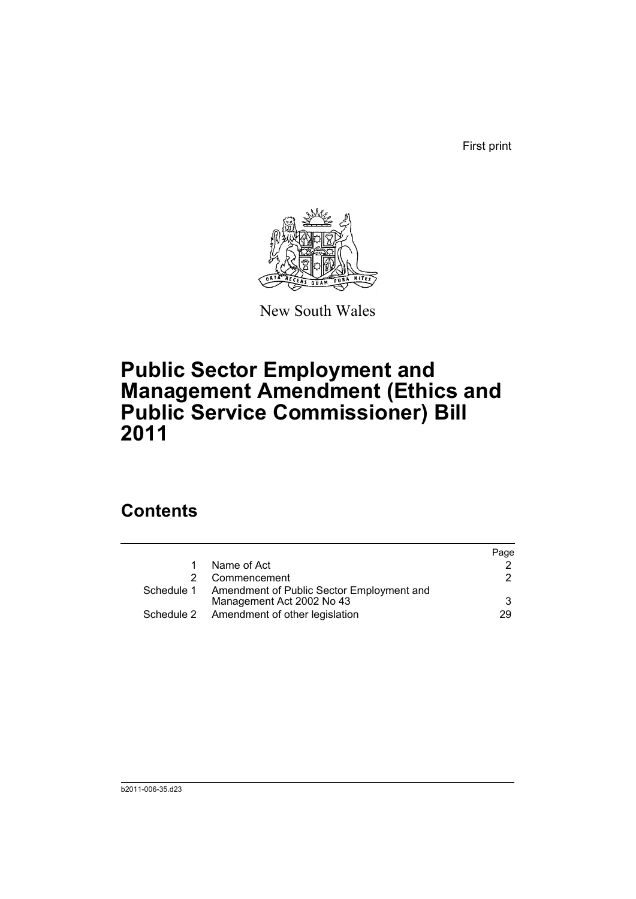First print



New South Wales

# **Public Sector Employment and Management Amendment (Ethics and Public Service Commissioner) Bill 2011**

# **Contents**

|                                                      | Page |
|------------------------------------------------------|------|
| Name of Act                                          |      |
| Commencement                                         | 2.   |
| Schedule 1 Amendment of Public Sector Employment and |      |
| Management Act 2002 No 43                            | 3    |
| Schedule 2 Amendment of other legislation            | 29   |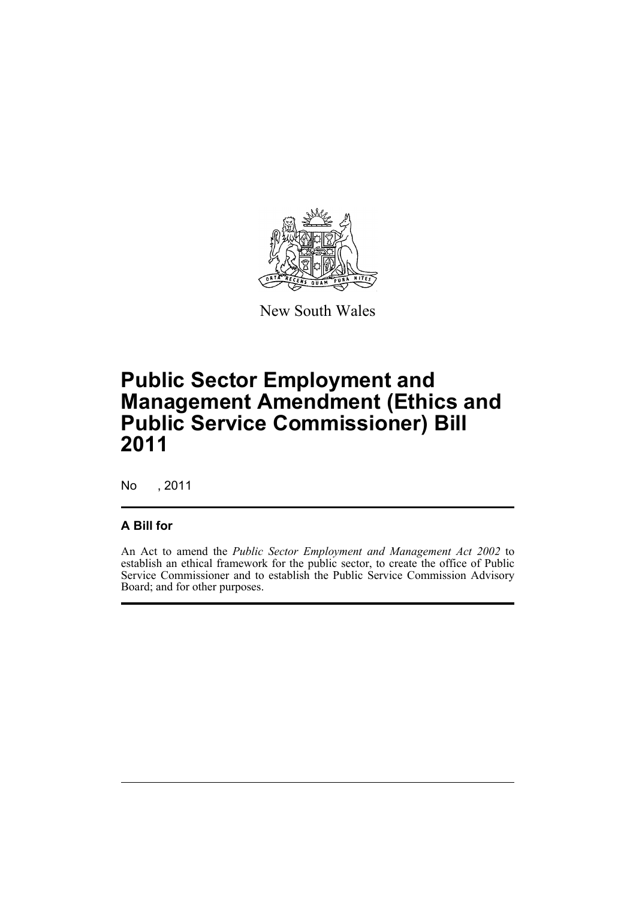

New South Wales

# **Public Sector Employment and Management Amendment (Ethics and Public Service Commissioner) Bill 2011**

No , 2011

### **A Bill for**

An Act to amend the *Public Sector Employment and Management Act 2002* to establish an ethical framework for the public sector, to create the office of Public Service Commissioner and to establish the Public Service Commission Advisory Board; and for other purposes.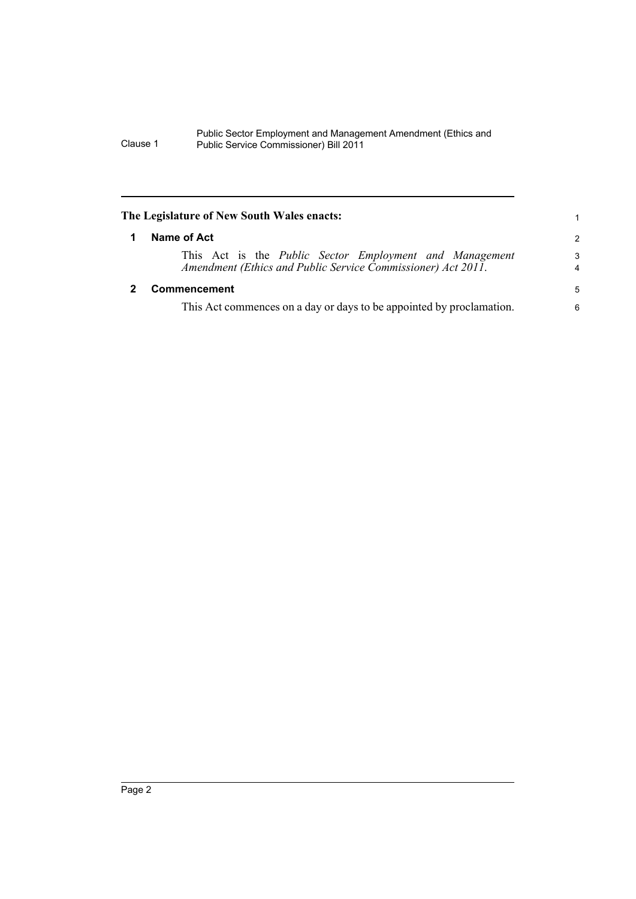<span id="page-7-1"></span><span id="page-7-0"></span>

| The Legislature of New South Wales enacts:                                                                              |                     |  |
|-------------------------------------------------------------------------------------------------------------------------|---------------------|--|
| Name of Act                                                                                                             | $\mathcal{P}$       |  |
| This Act is the Public Sector Employment and Management<br>Amendment (Ethics and Public Service Commissioner) Act 2011. | 3<br>$\overline{4}$ |  |
| Commencement                                                                                                            | 5                   |  |
| This Act commences on a day or days to be appointed by proclamation.                                                    | 6                   |  |
|                                                                                                                         |                     |  |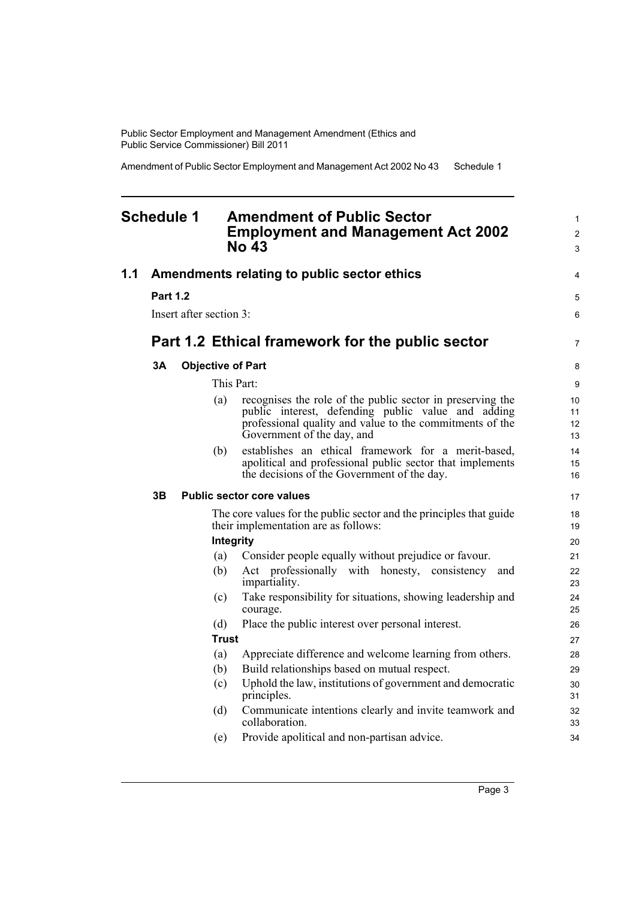Amendment of Public Sector Employment and Management Act 2002 No 43 Schedule 1

## <span id="page-8-0"></span>**Schedule 1 Amendment of Public Sector Employment and Management Act 2002 No 43**

| 1.1 |                 |                         |              | Amendments relating to public sector ethics                                                                                                                                                                | 4                    |
|-----|-----------------|-------------------------|--------------|------------------------------------------------------------------------------------------------------------------------------------------------------------------------------------------------------------|----------------------|
|     | <b>Part 1.2</b> |                         |              |                                                                                                                                                                                                            | 5                    |
|     |                 | Insert after section 3: |              |                                                                                                                                                                                                            | 6                    |
|     |                 |                         |              |                                                                                                                                                                                                            |                      |
|     |                 |                         |              | Part 1.2 Ethical framework for the public sector                                                                                                                                                           | $\overline{7}$       |
|     | 3A              |                         |              | <b>Objective of Part</b>                                                                                                                                                                                   | 8                    |
|     |                 |                         |              | This Part:                                                                                                                                                                                                 | 9                    |
|     |                 |                         | (a)          | recognises the role of the public sector in preserving the<br>public interest, defending public value and adding<br>professional quality and value to the commitments of the<br>Government of the day, and | 10<br>11<br>12<br>13 |
|     |                 |                         | (b)          | establishes an ethical framework for a merit-based,<br>apolitical and professional public sector that implements<br>the decisions of the Government of the day.                                            | 14<br>15<br>16       |
|     | 3B              |                         |              | <b>Public sector core values</b>                                                                                                                                                                           | 17                   |
|     |                 |                         |              | The core values for the public sector and the principles that guide<br>their implementation are as follows:                                                                                                | 18<br>19             |
|     |                 |                         | Integrity    |                                                                                                                                                                                                            | 20                   |
|     |                 |                         | (a)          | Consider people equally without prejudice or favour.                                                                                                                                                       | 21                   |
|     |                 |                         | (b)          | Act professionally with honesty, consistency and<br>impartiality.                                                                                                                                          | 22<br>23             |
|     |                 |                         | (c)          | Take responsibility for situations, showing leadership and<br>courage.                                                                                                                                     | 24<br>25             |
|     |                 |                         | (d)          | Place the public interest over personal interest.                                                                                                                                                          | 26                   |
|     |                 |                         | <b>Trust</b> |                                                                                                                                                                                                            | 27                   |
|     |                 |                         | (a)          | Appreciate difference and welcome learning from others.                                                                                                                                                    | 28                   |
|     |                 |                         | (b)          | Build relationships based on mutual respect.                                                                                                                                                               | 29                   |
|     |                 |                         | (c)          | Uphold the law, institutions of government and democratic<br>principles.                                                                                                                                   | 30<br>31             |
|     |                 |                         | (d)          | Communicate intentions clearly and invite teamwork and<br>collaboration.                                                                                                                                   | 32<br>33             |
|     |                 |                         | (e)          | Provide apolitical and non-partisan advice.                                                                                                                                                                | 34                   |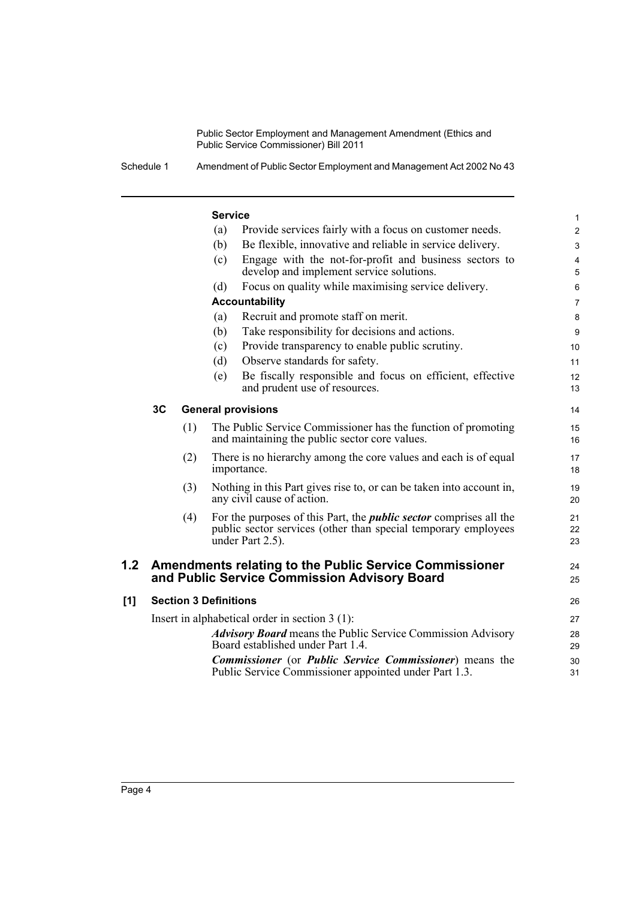Schedule 1 Amendment of Public Sector Employment and Management Act 2002 No 43

#### **Service** (a) Provide services fairly with a focus on customer needs. (b) Be flexible, innovative and reliable in service delivery. (c) Engage with the not-for-profit and business sectors to develop and implement service solutions. (d) Focus on quality while maximising service delivery. **Accountability** (a) Recruit and promote staff on merit. (b) Take responsibility for decisions and actions. (c) Provide transparency to enable public scrutiny. (d) Observe standards for safety. (e) Be fiscally responsible and focus on efficient, effective and prudent use of resources. **3C General provisions** (1) The Public Service Commissioner has the function of promoting and maintaining the public sector core values. (2) There is no hierarchy among the core values and each is of equal importance. (3) Nothing in this Part gives rise to, or can be taken into account in, any civil cause of action. (4) For the purposes of this Part, the *public sector* comprises all the public sector services (other than special temporary employees under Part 2.5). **1.2 Amendments relating to the Public Service Commissioner and Public Service Commission Advisory Board [1] Section 3 Definitions** Insert in alphabetical order in section 3 (1): *Advisory Board* means the Public Service Commission Advisory Board established under Part 1.4. *Commissioner* (or *Public Service Commissioner*) means the Public Service Commissioner appointed under Part 1.3. 1  $\overline{2}$ 3 4 5 6 7 8 9 10 11 12 13 14 15 16 17 18 19 20 21 22 23 24 25 26 27 28 29 30 31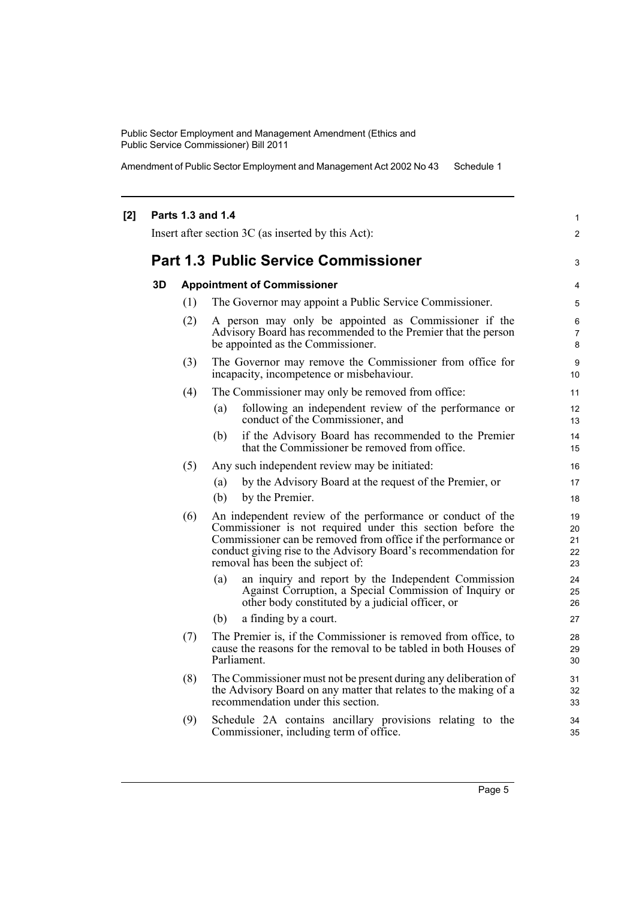Amendment of Public Sector Employment and Management Act 2002 No 43 Schedule 1

#### **[2] Parts 1.3 and 1.4** Insert after section 3C (as inserted by this Act): **Part 1.3 Public Service Commissioner 3D Appointment of Commissioner** (1) The Governor may appoint a Public Service Commissioner. (2) A person may only be appointed as Commissioner if the Advisory Board has recommended to the Premier that the person be appointed as the Commissioner. (3) The Governor may remove the Commissioner from office for incapacity, incompetence or misbehaviour. (4) The Commissioner may only be removed from office: (a) following an independent review of the performance or conduct of the Commissioner, and (b) if the Advisory Board has recommended to the Premier that the Commissioner be removed from office. (5) Any such independent review may be initiated: (a) by the Advisory Board at the request of the Premier, or (b) by the Premier. (6) An independent review of the performance or conduct of the Commissioner is not required under this section before the Commissioner can be removed from office if the performance or conduct giving rise to the Advisory Board's recommendation for removal has been the subject of: (a) an inquiry and report by the Independent Commission Against Corruption, a Special Commission of Inquiry or other body constituted by a judicial officer, or (b) a finding by a court. (7) The Premier is, if the Commissioner is removed from office, to cause the reasons for the removal to be tabled in both Houses of Parliament. (8) The Commissioner must not be present during any deliberation of the Advisory Board on any matter that relates to the making of a recommendation under this section. (9) Schedule 2A contains ancillary provisions relating to the Commissioner, including term of office. 1  $\mathfrak{p}$ 3 4 5 6 7 8 9 10 11 12 13  $14$ 15 16 17 18 19 20 21 22 23 24 25 26 27  $28$ 29 30 31 32 33 34 35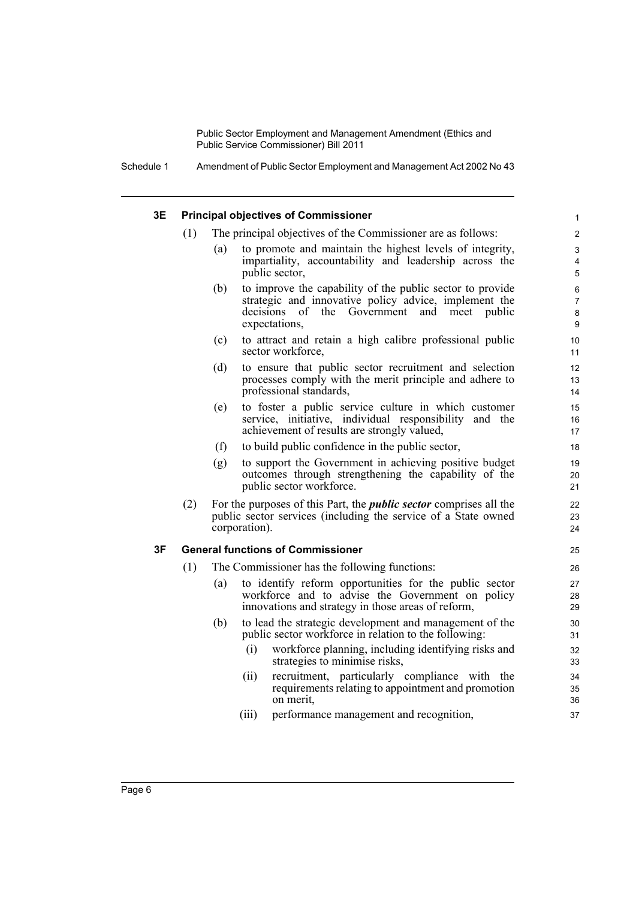Schedule 1 Amendment of Public Sector Employment and Management Act 2002 No 43

### **3E Principal objectives of Commissioner**

- (1) The principal objectives of the Commissioner are as follows:
	- (a) to promote and maintain the highest levels of integrity, impartiality, accountability and leadership across the public sector,

- (b) to improve the capability of the public sector to provide strategic and innovative policy advice, implement the decisions of the Government and meet public expectations,
- (c) to attract and retain a high calibre professional public sector workforce,
- (d) to ensure that public sector recruitment and selection processes comply with the merit principle and adhere to professional standards,
- (e) to foster a public service culture in which customer service, initiative, individual responsibility and the achievement of results are strongly valued,
- (f) to build public confidence in the public sector,
- (g) to support the Government in achieving positive budget outcomes through strengthening the capability of the public sector workforce.
- (2) For the purposes of this Part, the *public sector* comprises all the public sector services (including the service of a State owned corporation).

#### **3F General functions of Commissioner**

- (1) The Commissioner has the following functions:
	- (a) to identify reform opportunities for the public sector workforce and to advise the Government on policy innovations and strategy in those areas of reform,
	- (b) to lead the strategic development and management of the public sector workforce in relation to the following:
		- (i) workforce planning, including identifying risks and strategies to minimise risks,
		- (ii) recruitment, particularly compliance with the requirements relating to appointment and promotion on merit,
		- (iii) performance management and recognition,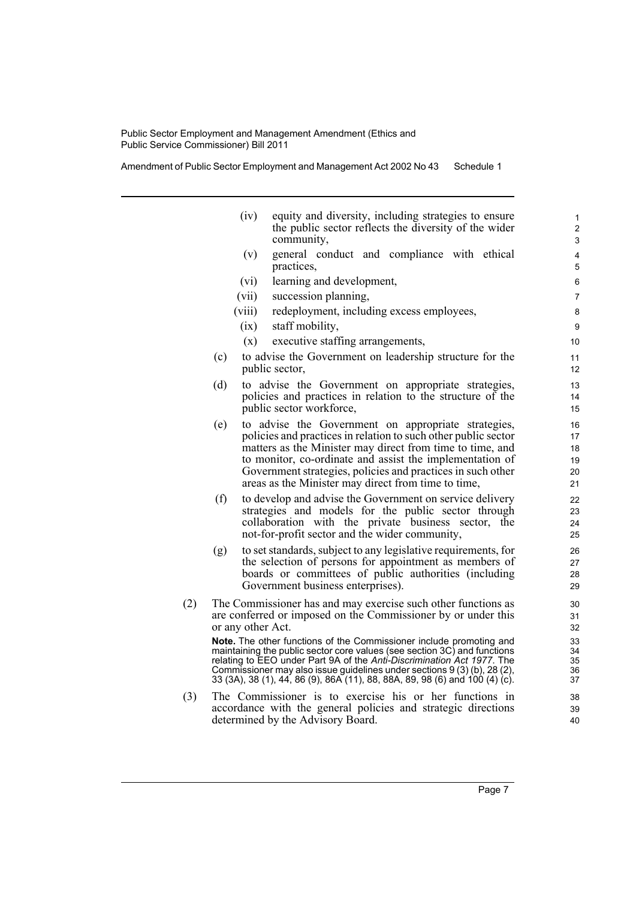Amendment of Public Sector Employment and Management Act 2002 No 43 Schedule 1

determined by the Advisory Board.

(iv) equity and diversity, including strategies to ensure the public sector reflects the diversity of the wider community, (v) general conduct and compliance with ethical practices, (vi) learning and development, (vii) succession planning, (viii) redeployment, including excess employees, (ix) staff mobility, (x) executive staffing arrangements, (c) to advise the Government on leadership structure for the public sector, (d) to advise the Government on appropriate strategies, policies and practices in relation to the structure of the public sector workforce, (e) to advise the Government on appropriate strategies, policies and practices in relation to such other public sector matters as the Minister may direct from time to time, and to monitor, co-ordinate and assist the implementation of Government strategies, policies and practices in such other areas as the Minister may direct from time to time, (f) to develop and advise the Government on service delivery strategies and models for the public sector through collaboration with the private business sector, the not-for-profit sector and the wider community, (g) to set standards, subject to any legislative requirements, for the selection of persons for appointment as members of boards or committees of public authorities (including Government business enterprises). (2) The Commissioner has and may exercise such other functions as are conferred or imposed on the Commissioner by or under this or any other Act. **Note.** The other functions of the Commissioner include promoting and maintaining the public sector core values (see section 3C) and functions relating to EEO under Part 9A of the *Anti-Discrimination Act 1977*. The Commissioner may also issue guidelines under sections 9 (3) (b), 28 (2), 33 (3A), 38 (1), 44, 86 (9), 86A (11), 88, 88A, 89, 98 (6) and 100 (4) (c). (3) The Commissioner is to exercise his or her functions in accordance with the general policies and strategic directions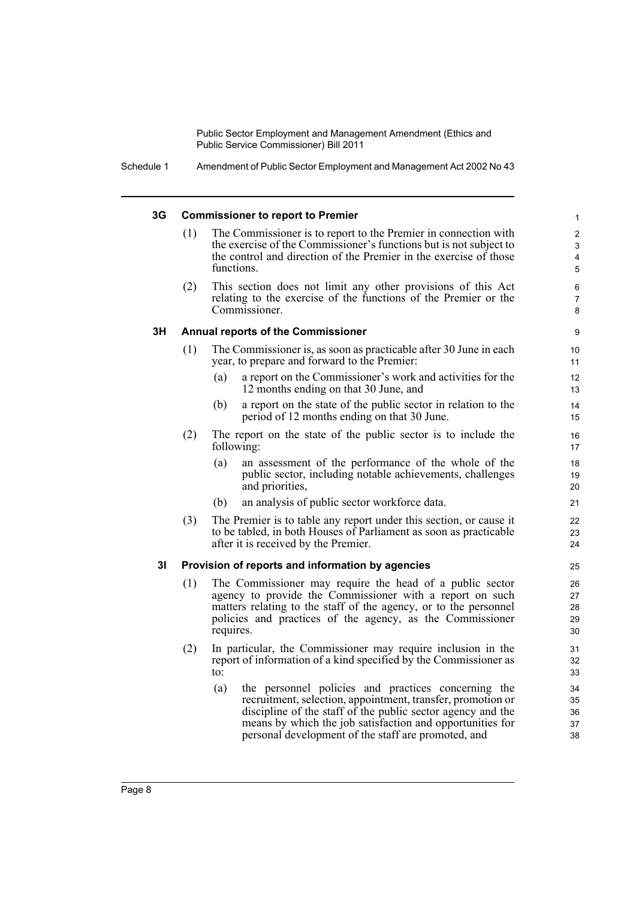Schedule 1 Amendment of Public Sector Employment and Management Act 2002 No 43

#### **3G Commissioner to report to Premier**

(1) The Commissioner is to report to the Premier in connection with the exercise of the Commissioner's functions but is not subject to the control and direction of the Premier in the exercise of those functions.

(2) This section does not limit any other provisions of this Act relating to the exercise of the functions of the Premier or the Commissioner.

#### **3H Annual reports of the Commissioner**

- (1) The Commissioner is, as soon as practicable after 30 June in each year, to prepare and forward to the Premier:
	- (a) a report on the Commissioner's work and activities for the 12 months ending on that 30 June, and
	- (b) a report on the state of the public sector in relation to the period of 12 months ending on that 30 June.
- (2) The report on the state of the public sector is to include the following:
	- (a) an assessment of the performance of the whole of the public sector, including notable achievements, challenges and priorities,
	- (b) an analysis of public sector workforce data.
- (3) The Premier is to table any report under this section, or cause it to be tabled, in both Houses of Parliament as soon as practicable after it is received by the Premier.

### **3I Provision of reports and information by agencies**

- (1) The Commissioner may require the head of a public sector agency to provide the Commissioner with a report on such matters relating to the staff of the agency, or to the personnel policies and practices of the agency, as the Commissioner requires.
- (2) In particular, the Commissioner may require inclusion in the report of information of a kind specified by the Commissioner as to:
	- (a) the personnel policies and practices concerning the recruitment, selection, appointment, transfer, promotion or discipline of the staff of the public sector agency and the means by which the job satisfaction and opportunities for personal development of the staff are promoted, and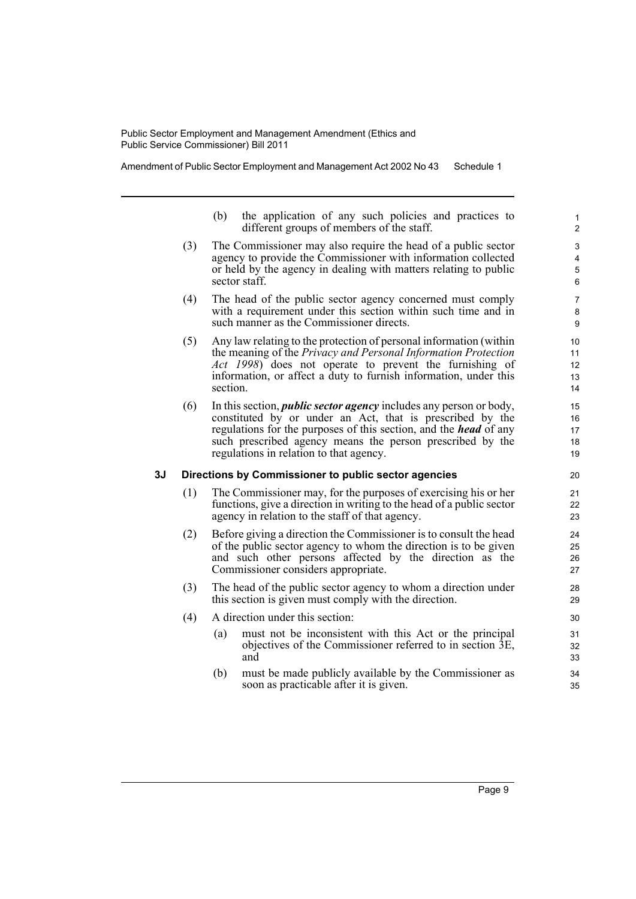Amendment of Public Sector Employment and Management Act 2002 No 43 Schedule 1

- (b) the application of any such policies and practices to different groups of members of the staff.
- (3) The Commissioner may also require the head of a public sector agency to provide the Commissioner with information collected or held by the agency in dealing with matters relating to public sector staff.
- (4) The head of the public sector agency concerned must comply with a requirement under this section within such time and in such manner as the Commissioner directs.
- (5) Any law relating to the protection of personal information (within the meaning of the *Privacy and Personal Information Protection Act 1998*) does not operate to prevent the furnishing of information, or affect a duty to furnish information, under this section.
- (6) In this section, *public sector agency* includes any person or body, constituted by or under an Act, that is prescribed by the regulations for the purposes of this section, and the *head* of any such prescribed agency means the person prescribed by the regulations in relation to that agency.

#### **3J Directions by Commissioner to public sector agencies**

- (1) The Commissioner may, for the purposes of exercising his or her functions, give a direction in writing to the head of a public sector agency in relation to the staff of that agency.
- (2) Before giving a direction the Commissioner is to consult the head of the public sector agency to whom the direction is to be given and such other persons affected by the direction as the Commissioner considers appropriate.
- (3) The head of the public sector agency to whom a direction under this section is given must comply with the direction.
- (4) A direction under this section:
	- (a) must not be inconsistent with this Act or the principal objectives of the Commissioner referred to in section 3E, and
	- (b) must be made publicly available by the Commissioner as soon as practicable after it is given.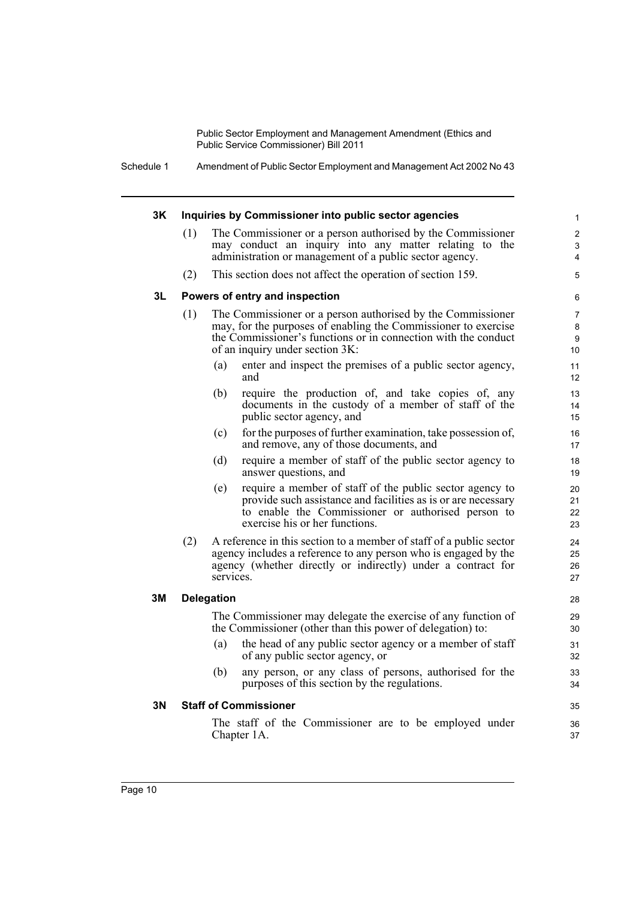> 3 4

Schedule 1 Amendment of Public Sector Employment and Management Act 2002 No 43

#### **3K Inquiries by Commissioner into public sector agencies** (1) The Commissioner or a person authorised by the Commissioner may conduct an inquiry into any matter relating to the administration or management of a public sector agency. (2) This section does not affect the operation of section 159. **3L Powers of entry and inspection** (1) The Commissioner or a person authorised by the Commissioner may, for the purposes of enabling the Commissioner to exercise the Commissioner's functions or in connection with the conduct of an inquiry under section 3K: (a) enter and inspect the premises of a public sector agency, and (b) require the production of, and take copies of, any documents in the custody of a member of staff of the public sector agency, and (c) for the purposes of further examination, take possession of, and remove, any of those documents, and (d) require a member of staff of the public sector agency to answer questions, and (e) require a member of staff of the public sector agency to provide such assistance and facilities as is or are necessary to enable the Commissioner or authorised person to exercise his or her functions. (2) A reference in this section to a member of staff of a public sector agency includes a reference to any person who is engaged by the agency (whether directly or indirectly) under a contract for services. **3M Delegation** The Commissioner may delegate the exercise of any function of the Commissioner (other than this power of delegation) to: (a) the head of any public sector agency or a member of staff of any public sector agency, or (b) any person, or any class of persons, authorised for the purposes of this section by the regulations. **3N Staff of Commissioner** The staff of the Commissioner are to be employed under Chapter 1A. 1 2 5 6 7 8 9 10 11 12 13 14 15 16 17 18 19 20 21 22 23 24 25 26 27 28 29 30 31 32 33 34 35 36 37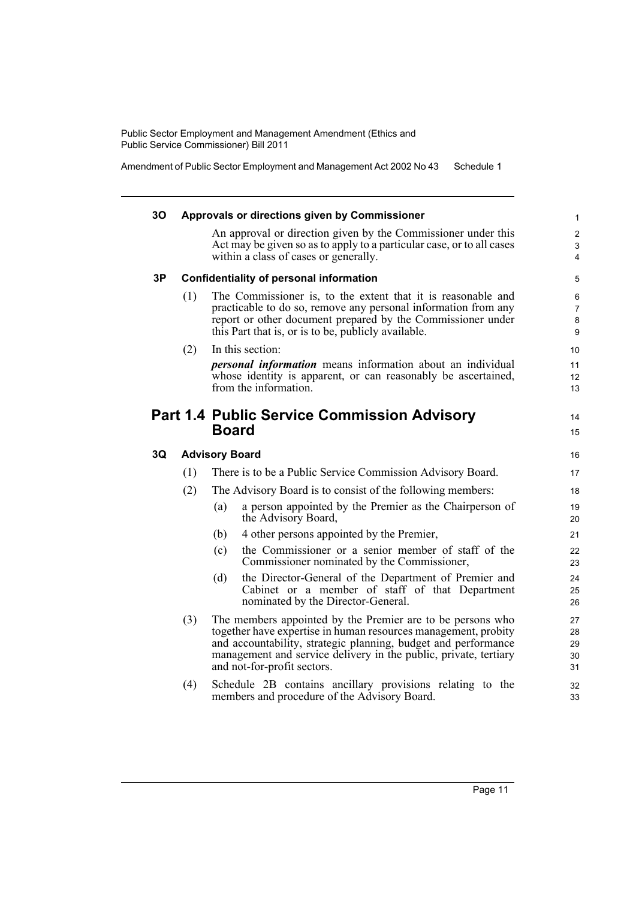Amendment of Public Sector Employment and Management Act 2002 No 43 Schedule 1

| 30 |     | Approvals or directions given by Commissioner                                                                                                                                                                                                                                                     | $\mathbf{1}$                  |
|----|-----|---------------------------------------------------------------------------------------------------------------------------------------------------------------------------------------------------------------------------------------------------------------------------------------------------|-------------------------------|
|    |     | An approval or direction given by the Commissioner under this<br>Act may be given so as to apply to a particular case, or to all cases<br>within a class of cases or generally.                                                                                                                   | $\overline{2}$<br>3<br>4      |
| 3P |     | <b>Confidentiality of personal information</b>                                                                                                                                                                                                                                                    | 5                             |
|    | (1) | The Commissioner is, to the extent that it is reasonable and<br>practicable to do so, remove any personal information from any<br>report or other document prepared by the Commissioner under<br>this Part that is, or is to be, publicly available.                                              | 6<br>$\overline{7}$<br>8<br>9 |
|    | (2) | In this section:                                                                                                                                                                                                                                                                                  | 10                            |
|    |     | <i>personal information</i> means information about an individual<br>whose identity is apparent, or can reasonably be ascertained,<br>from the information.                                                                                                                                       | 11<br>12<br>13                |
|    |     | <b>Part 1.4 Public Service Commission Advisory</b><br><b>Board</b>                                                                                                                                                                                                                                | 14<br>15                      |
| 3Q |     | <b>Advisory Board</b>                                                                                                                                                                                                                                                                             | 16                            |
|    | (1) | There is to be a Public Service Commission Advisory Board.                                                                                                                                                                                                                                        | 17                            |
|    | (2) | The Advisory Board is to consist of the following members:                                                                                                                                                                                                                                        | 18                            |
|    |     | a person appointed by the Premier as the Chairperson of<br>(a)<br>the Advisory Board,                                                                                                                                                                                                             | 19<br>20                      |
|    |     | 4 other persons appointed by the Premier,<br>(b)                                                                                                                                                                                                                                                  | 21                            |
|    |     | the Commissioner or a senior member of staff of the<br>(c)<br>Commissioner nominated by the Commissioner,                                                                                                                                                                                         | 22<br>23                      |
|    |     | the Director-General of the Department of Premier and<br>(d)<br>Cabinet or a member of staff of that Department<br>nominated by the Director-General.                                                                                                                                             | 24<br>25<br>26                |
|    | (3) | The members appointed by the Premier are to be persons who<br>together have expertise in human resources management, probity<br>and accountability, strategic planning, budget and performance<br>management and service delivery in the public, private, tertiary<br>and not-for-profit sectors. | 27<br>28<br>29<br>30<br>31    |
|    | (4) | Schedule 2B contains ancillary provisions relating to the<br>members and procedure of the Advisory Board.                                                                                                                                                                                         | 32<br>33                      |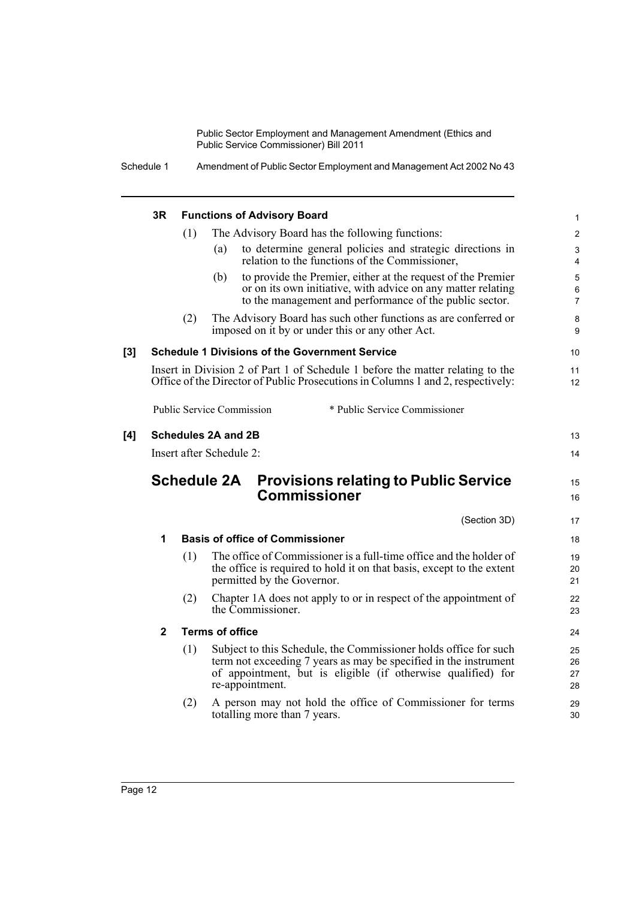Schedule 1 Amendment of Public Sector Employment and Management Act 2002 No 43

|     | 3R           |     | <b>Functions of Advisory Board</b>                                                                                                                                                                                      | $\mathbf{1}$                            |
|-----|--------------|-----|-------------------------------------------------------------------------------------------------------------------------------------------------------------------------------------------------------------------------|-----------------------------------------|
|     |              | (1) | The Advisory Board has the following functions:                                                                                                                                                                         | $\overline{2}$                          |
|     |              |     | to determine general policies and strategic directions in<br>(a)<br>relation to the functions of the Commissioner,                                                                                                      | $\mathsf 3$<br>4                        |
|     |              |     | to provide the Premier, either at the request of the Premier<br>(b)<br>or on its own initiative, with advice on any matter relating<br>to the management and performance of the public sector.                          | $\sqrt{5}$<br>$\,6\,$<br>$\overline{7}$ |
|     |              | (2) | The Advisory Board has such other functions as are conferred or<br>imposed on it by or under this or any other Act.                                                                                                     | $\bf 8$<br>9                            |
| [3] |              |     | <b>Schedule 1 Divisions of the Government Service</b>                                                                                                                                                                   | 10                                      |
|     |              |     | Insert in Division 2 of Part 1 of Schedule 1 before the matter relating to the<br>Office of the Director of Public Prosecutions in Columns 1 and 2, respectively:                                                       | 11<br>12                                |
|     |              |     | <b>Public Service Commission</b><br>* Public Service Commissioner                                                                                                                                                       |                                         |
| [4] |              |     | <b>Schedules 2A and 2B</b>                                                                                                                                                                                              | 13                                      |
|     |              |     | Insert after Schedule 2:                                                                                                                                                                                                | 14                                      |
|     |              |     | <b>Schedule 2A</b><br><b>Provisions relating to Public Service</b><br><b>Commissioner</b>                                                                                                                               | 15                                      |
|     |              |     |                                                                                                                                                                                                                         | 16                                      |
|     |              |     | (Section 3D)                                                                                                                                                                                                            | 17                                      |
|     | 1            |     | <b>Basis of office of Commissioner</b>                                                                                                                                                                                  | 18                                      |
|     |              | (1) | The office of Commissioner is a full-time office and the holder of<br>the office is required to hold it on that basis, except to the extent<br>permitted by the Governor.                                               | 19<br>20<br>21                          |
|     |              | (2) | Chapter 1A does not apply to or in respect of the appointment of<br>the Commissioner.                                                                                                                                   | 22<br>23                                |
|     | $\mathbf{2}$ |     | <b>Terms of office</b>                                                                                                                                                                                                  | 24                                      |
|     |              | (1) | Subject to this Schedule, the Commissioner holds office for such<br>term not exceeding 7 years as may be specified in the instrument<br>of appointment, but is eligible (if otherwise qualified) for<br>re-appointment. | 25<br>26<br>27<br>28                    |
|     |              | (2) | A person may not hold the office of Commissioner for terms<br>totalling more than 7 years.                                                                                                                              | 29<br>30                                |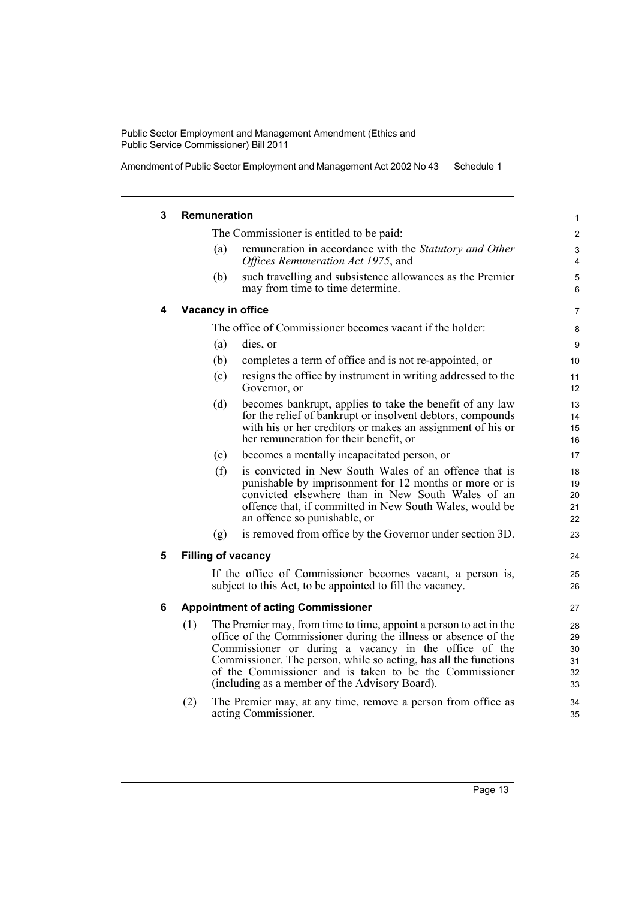acting Commissioner.

Amendment of Public Sector Employment and Management Act 2002 No 43 Schedule 1

#### **3 Remuneration** The Commissioner is entitled to be paid: (a) remuneration in accordance with the *Statutory and Other Offices Remuneration Act 1975*, and (b) such travelling and subsistence allowances as the Premier may from time to time determine. **4 Vacancy in office** The office of Commissioner becomes vacant if the holder: (a) dies, or (b) completes a term of office and is not re-appointed, or (c) resigns the office by instrument in writing addressed to the Governor, or (d) becomes bankrupt, applies to take the benefit of any law for the relief of bankrupt or insolvent debtors, compounds with his or her creditors or makes an assignment of his or her remuneration for their benefit, or (e) becomes a mentally incapacitated person, or (f) is convicted in New South Wales of an offence that is punishable by imprisonment for 12 months or more or is convicted elsewhere than in New South Wales of an offence that, if committed in New South Wales, would be an offence so punishable, or (g) is removed from office by the Governor under section 3D. **5 Filling of vacancy** If the office of Commissioner becomes vacant, a person is, subject to this Act, to be appointed to fill the vacancy. **6 Appointment of acting Commissioner** (1) The Premier may, from time to time, appoint a person to act in the office of the Commissioner during the illness or absence of the Commissioner or during a vacancy in the office of the Commissioner. The person, while so acting, has all the functions of the Commissioner and is taken to be the Commissioner (including as a member of the Advisory Board). (2) The Premier may, at any time, remove a person from office as 3 4 5 6 7 8 9  $10$ 11 12 13 14 15 16 17 18 19 20 21 22 23 24 25 26 27 28 29 30 31 32 33 34

35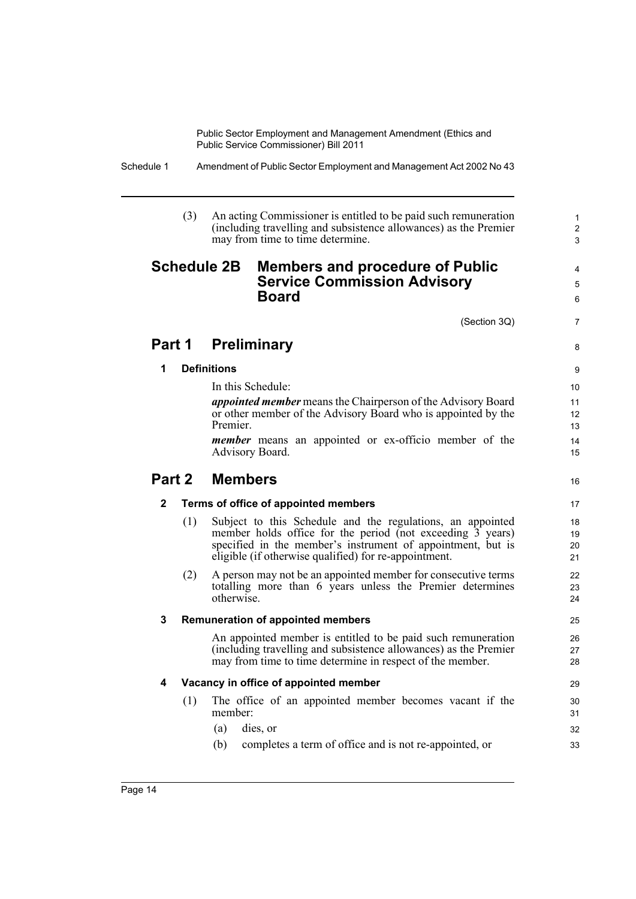> 1 2 3

> 4 5 6

7

8

16

Schedule 1 Amendment of Public Sector Employment and Management Act 2002 No 43

|              | (3) |                    | An acting Commissioner is entitled to be paid such remuneration<br>(including travelling and subsistence allowances) as the Premier<br>may from time to time determine.                                                                                                                                                                                       |
|--------------|-----|--------------------|---------------------------------------------------------------------------------------------------------------------------------------------------------------------------------------------------------------------------------------------------------------------------------------------------------------------------------------------------------------|
|              |     | <b>Schedule 2B</b> | <b>Members and procedure of Public</b><br><b>Service Commission Advisory</b><br><b>Board</b>                                                                                                                                                                                                                                                                  |
|              |     |                    | (Section 3Q)                                                                                                                                                                                                                                                                                                                                                  |
|              |     |                    | Part 1 Preliminary                                                                                                                                                                                                                                                                                                                                            |
| 1            |     | <b>Definitions</b> |                                                                                                                                                                                                                                                                                                                                                               |
|              |     | Premier.           | <i>appointed member</i> means the Chairperson of the Advisory Board<br>or other member of the Advisory Board who is appointed by the<br><i>member</i> means an appointed or ex-officio member of the<br>Advisory Board.                                                                                                                                       |
|              |     | Part 2 Members     |                                                                                                                                                                                                                                                                                                                                                               |
| $\mathbf{2}$ |     |                    | Terms of office of appointed members                                                                                                                                                                                                                                                                                                                          |
|              | (1) |                    | Subject to this Schedule and the regulations, an appointed<br>member holds office for the period (not exceeding $\overline{3}$ years)<br>specified in the member's instrument of appointment, but is<br>eligible (if otherwise qualified) for re-appointment.                                                                                                 |
|              | (2) | otherwise          | A person may not be an appointed member for consecutive terms<br>totalling more than 6 years unless the Premier determines                                                                                                                                                                                                                                    |
| 3            |     |                    | <b>Remuneration of appointed members</b>                                                                                                                                                                                                                                                                                                                      |
|              |     |                    | $\mathcal{L} = \{ \mathbf{r}^T, \mathbf{r}^T, \mathbf{r}^T, \mathbf{r}^T, \mathbf{r}^T, \mathbf{r}^T, \mathbf{r}^T, \mathbf{r}^T, \mathbf{r}^T, \mathbf{r}^T, \mathbf{r}^T, \mathbf{r}^T, \mathbf{r}^T, \mathbf{r}^T, \mathbf{r}^T, \mathbf{r}^T, \mathbf{r}^T, \mathbf{r}^T, \mathbf{r}^T, \mathbf{r}^T, \mathbf{r}^T, \mathbf{r}^T, \mathbf{r}^T, \mathbf{$ |

An appointed member is entitled to be paid such remuneration (including travelling and subsistence allowances) as the Premier may from time to time determine in respect of the member.

## **4 Vacancy in office of appointed member**

- (1) The office of an appointed member becomes vacant if the member:
	- (a) dies, or
	- (b) completes a term of office and is not re-appointed, or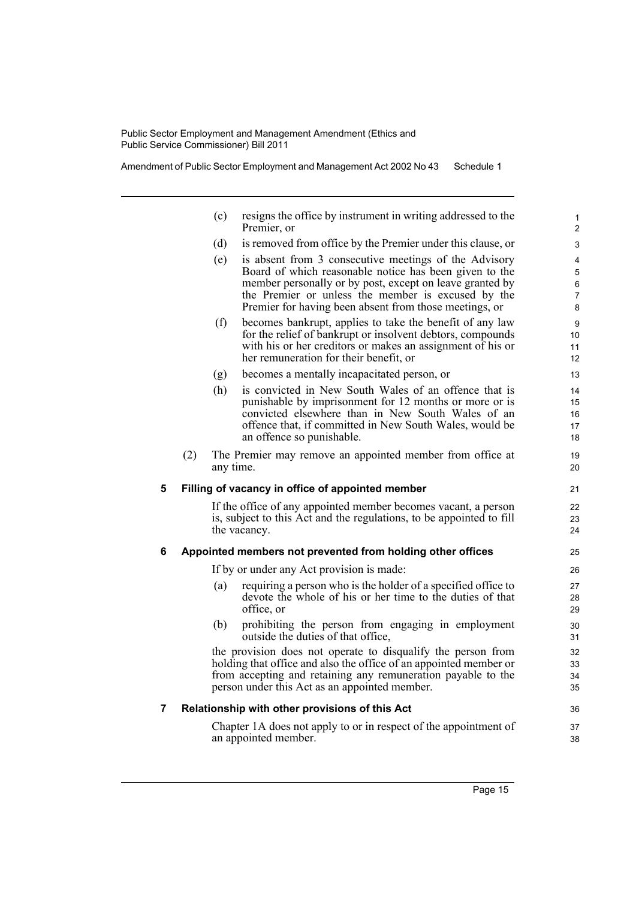Amendment of Public Sector Employment and Management Act 2002 No 43 Schedule 1

|   |     | (c)       | resigns the office by instrument in writing addressed to the<br>Premier, or                                                                                                                                                                                                                 | 1<br>$\overline{\mathbf{c}}$       |
|---|-----|-----------|---------------------------------------------------------------------------------------------------------------------------------------------------------------------------------------------------------------------------------------------------------------------------------------------|------------------------------------|
|   |     | (d)       | is removed from office by the Premier under this clause, or                                                                                                                                                                                                                                 | 3                                  |
|   |     | (e)       | is absent from 3 consecutive meetings of the Advisory<br>Board of which reasonable notice has been given to the<br>member personally or by post, except on leave granted by<br>the Premier or unless the member is excused by the<br>Premier for having been absent from those meetings, or | 4<br>5<br>6<br>$\overline{7}$<br>8 |
|   |     | (f)       | becomes bankrupt, applies to take the benefit of any law<br>for the relief of bankrupt or insolvent debtors, compounds<br>with his or her creditors or makes an assignment of his or<br>her remuneration for their benefit, or                                                              | 9<br>10<br>11<br>12                |
|   |     | (g)       | becomes a mentally incapacitated person, or                                                                                                                                                                                                                                                 | 13                                 |
|   |     | (h)       | is convicted in New South Wales of an offence that is<br>punishable by imprisonment for 12 months or more or is<br>convicted elsewhere than in New South Wales of an<br>offence that, if committed in New South Wales, would be<br>an offence so punishable.                                | 14<br>15<br>16<br>17<br>18         |
|   | (2) | any time. | The Premier may remove an appointed member from office at                                                                                                                                                                                                                                   | 19<br>20                           |
| 5 |     |           | Filling of vacancy in office of appointed member                                                                                                                                                                                                                                            | 21                                 |
|   |     |           | If the office of any appointed member becomes vacant, a person<br>is, subject to this Act and the regulations, to be appointed to fill<br>the vacancy.                                                                                                                                      | 22<br>23<br>24                     |
| 6 |     |           | Appointed members not prevented from holding other offices                                                                                                                                                                                                                                  | 25                                 |
|   |     |           | If by or under any Act provision is made:                                                                                                                                                                                                                                                   | 26                                 |
|   |     | (a)       | requiring a person who is the holder of a specified office to<br>devote the whole of his or her time to the duties of that<br>office, or                                                                                                                                                    | 27<br>28<br>29                     |
|   |     | (b)       | prohibiting the person from engaging in employment<br>outside the duties of that office,                                                                                                                                                                                                    | 30<br>31                           |
|   |     |           | the provision does not operate to disqualify the person from<br>holding that office and also the office of an appointed member or<br>from accepting and retaining any remuneration payable to the<br>person under this Act as an appointed member.                                          | 32<br>33<br>34<br>35               |
| 7 |     |           | Relationship with other provisions of this Act                                                                                                                                                                                                                                              | 36                                 |
|   |     |           | Chapter 1A does not apply to or in respect of the appointment of<br>an appointed member.                                                                                                                                                                                                    | 37<br>38                           |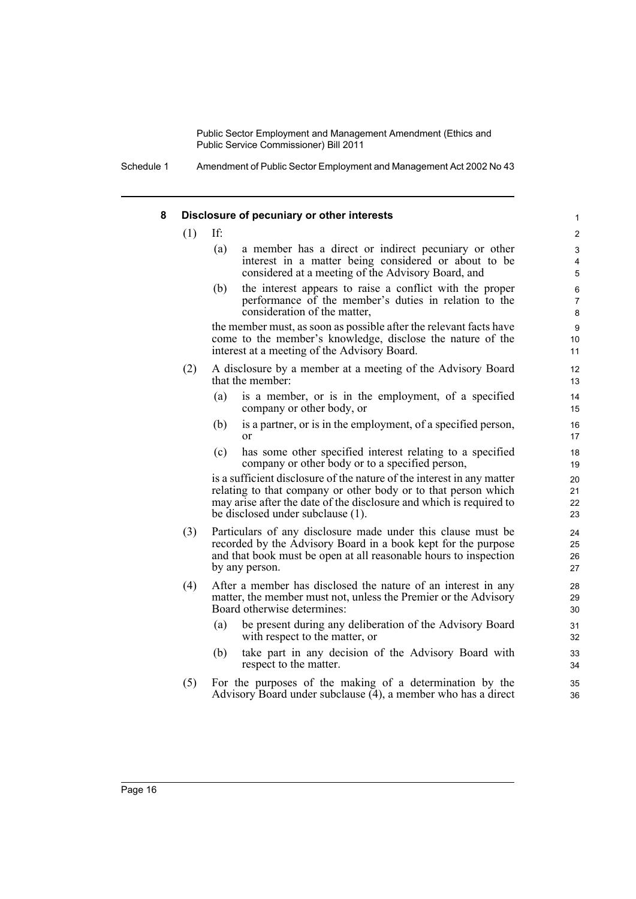Schedule 1 Amendment of Public Sector Employment and Management Act 2002 No 43

#### **8 Disclosure of pecuniary or other interests**

 $(1)$  If:

(a) a member has a direct or indirect pecuniary or other interest in a matter being considered or about to be considered at a meeting of the Advisory Board, and

(b) the interest appears to raise a conflict with the proper performance of the member's duties in relation to the consideration of the matter,

the member must, as soon as possible after the relevant facts have come to the member's knowledge, disclose the nature of the interest at a meeting of the Advisory Board.

- (2) A disclosure by a member at a meeting of the Advisory Board that the member:
	- (a) is a member, or is in the employment, of a specified company or other body, or
	- (b) is a partner, or is in the employment, of a specified person, or
	- (c) has some other specified interest relating to a specified company or other body or to a specified person,

is a sufficient disclosure of the nature of the interest in any matter relating to that company or other body or to that person which may arise after the date of the disclosure and which is required to be disclosed under subclause (1).

- (3) Particulars of any disclosure made under this clause must be recorded by the Advisory Board in a book kept for the purpose and that book must be open at all reasonable hours to inspection by any person.
- (4) After a member has disclosed the nature of an interest in any matter, the member must not, unless the Premier or the Advisory Board otherwise determines:
	- (a) be present during any deliberation of the Advisory Board with respect to the matter, or
	- (b) take part in any decision of the Advisory Board with respect to the matter.
- (5) For the purposes of the making of a determination by the Advisory Board under subclause  $(4)$ , a member who has a direct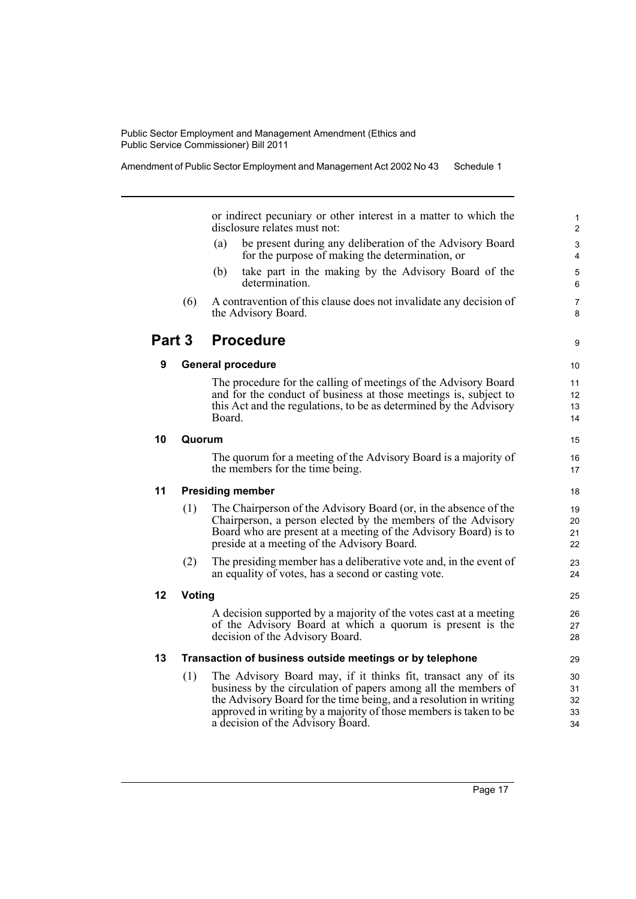| Amendment of Public Sector Employment and Management Act 2002 No 43 Schedule 1 |  |
|--------------------------------------------------------------------------------|--|
|--------------------------------------------------------------------------------|--|

or indirect pecuniary or other interest in a matter to which the disclosure relates must not:

- (a) be present during any deliberation of the Advisory Board for the purpose of making the determination, or
- (b) take part in the making by the Advisory Board of the determination.
- (6) A contravention of this clause does not invalidate any decision of the Advisory Board.

### **Part 3 Procedure**

#### **9 General procedure**

The procedure for the calling of meetings of the Advisory Board and for the conduct of business at those meetings is, subject to this Act and the regulations, to be as determined by the Advisory Board.

#### **10 Quorum**

The quorum for a meeting of the Advisory Board is a majority of the members for the time being.

#### **11 Presiding member**

- (1) The Chairperson of the Advisory Board (or, in the absence of the Chairperson, a person elected by the members of the Advisory Board who are present at a meeting of the Advisory Board) is to preside at a meeting of the Advisory Board.
- (2) The presiding member has a deliberative vote and, in the event of an equality of votes, has a second or casting vote.

#### **12 Voting**

A decision supported by a majority of the votes cast at a meeting of the Advisory Board at which a quorum is present is the decision of the Advisory Board.

#### **13 Transaction of business outside meetings or by telephone**

(1) The Advisory Board may, if it thinks fit, transact any of its business by the circulation of papers among all the members of the Advisory Board for the time being, and a resolution in writing approved in writing by a majority of those members is taken to be a decision of the Advisory Board.

9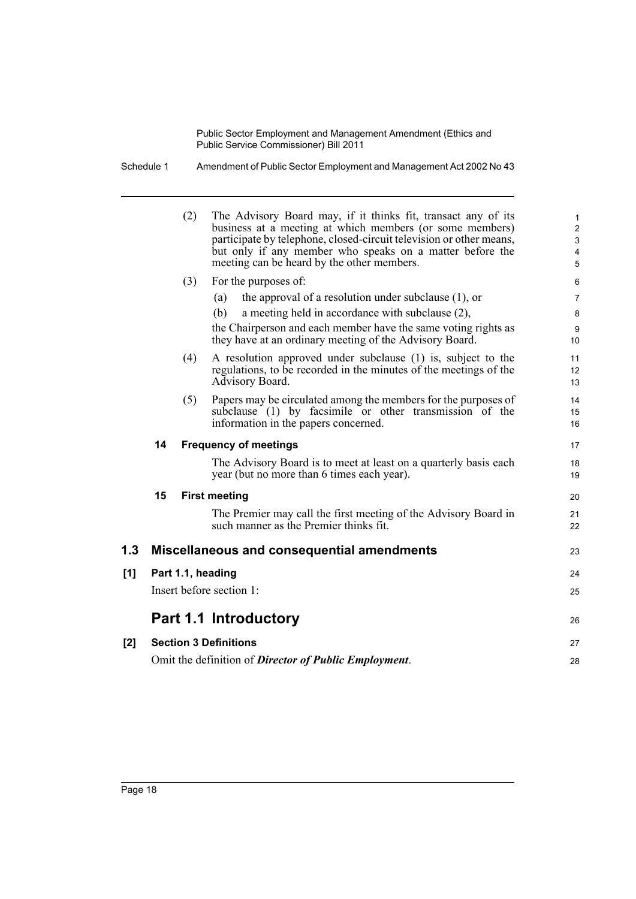Schedule 1 Amendment of Public Sector Employment and Management Act 2002 No 43

|     |    | (2) | The Advisory Board may, if it thinks fit, transact any of its<br>business at a meeting at which members (or some members)<br>participate by telephone, closed-circuit television or other means,<br>but only if any member who speaks on a matter before the<br>meeting can be heard by the other members. | $\mathbf{1}$<br>$\overline{2}$<br>$\mathbf{3}$<br>$\overline{4}$<br>5 |
|-----|----|-----|------------------------------------------------------------------------------------------------------------------------------------------------------------------------------------------------------------------------------------------------------------------------------------------------------------|-----------------------------------------------------------------------|
|     |    | (3) | For the purposes of:                                                                                                                                                                                                                                                                                       | 6                                                                     |
|     |    |     | the approval of a resolution under subclause $(1)$ , or<br>(a)                                                                                                                                                                                                                                             | $\overline{7}$                                                        |
|     |    |     | (b)<br>a meeting held in accordance with subclause (2),                                                                                                                                                                                                                                                    | 8                                                                     |
|     |    |     | the Chairperson and each member have the same voting rights as<br>they have at an ordinary meeting of the Advisory Board.                                                                                                                                                                                  | 9<br>10                                                               |
|     |    | (4) | A resolution approved under subclause (1) is, subject to the                                                                                                                                                                                                                                               | 11                                                                    |
|     |    |     | regulations, to be recorded in the minutes of the meetings of the<br>Advisory Board.                                                                                                                                                                                                                       | 12<br>13                                                              |
|     |    | (5) | Papers may be circulated among the members for the purposes of                                                                                                                                                                                                                                             | 14                                                                    |
|     |    |     | subclause (1) by facsimile or other transmission of the<br>information in the papers concerned.                                                                                                                                                                                                            | 15<br>16                                                              |
|     | 14 |     | <b>Frequency of meetings</b>                                                                                                                                                                                                                                                                               | 17                                                                    |
|     |    |     | The Advisory Board is to meet at least on a quarterly basis each<br>year (but no more than 6 times each year).                                                                                                                                                                                             | 18<br>19                                                              |
|     | 15 |     | <b>First meeting</b>                                                                                                                                                                                                                                                                                       | 20                                                                    |
|     |    |     | The Premier may call the first meeting of the Advisory Board in<br>such manner as the Premier thinks fit.                                                                                                                                                                                                  | 21<br>22                                                              |
| 1.3 |    |     | Miscellaneous and consequential amendments                                                                                                                                                                                                                                                                 | 23                                                                    |
| [1] |    |     | Part 1.1, heading                                                                                                                                                                                                                                                                                          | 24                                                                    |
|     |    |     | Insert before section 1:                                                                                                                                                                                                                                                                                   | 25                                                                    |
|     |    |     | Part 1.1 Introductory                                                                                                                                                                                                                                                                                      | 26                                                                    |
| [2] |    |     | <b>Section 3 Definitions</b>                                                                                                                                                                                                                                                                               | 27                                                                    |
|     |    |     | Omit the definition of <b>Director of Public Employment</b> .                                                                                                                                                                                                                                              | 28                                                                    |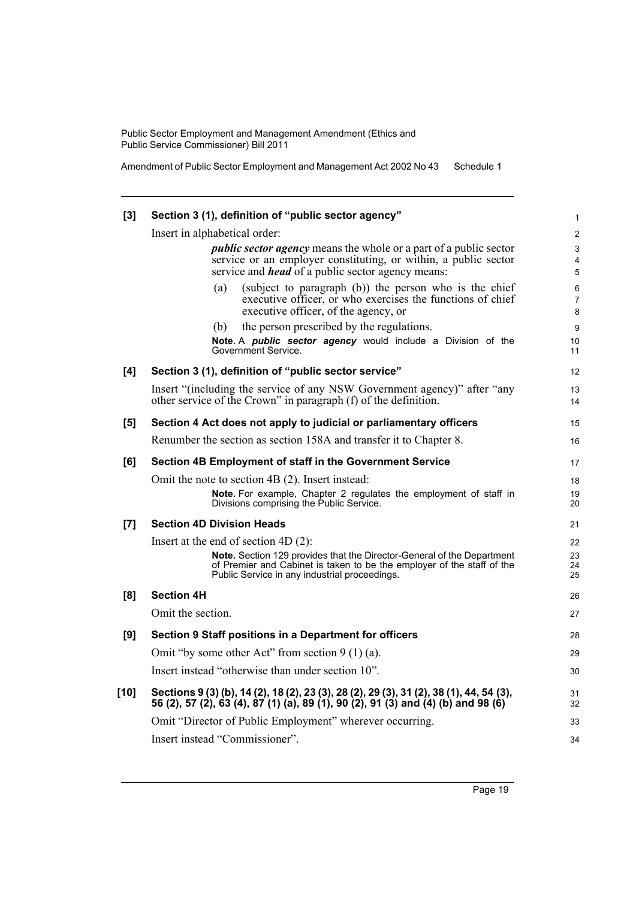Amendment of Public Sector Employment and Management Act 2002 No 43 Schedule 1

| [3]    | Section 3 (1), definition of "public sector agency"                                                                                                                                               | 1                   |
|--------|---------------------------------------------------------------------------------------------------------------------------------------------------------------------------------------------------|---------------------|
|        | Insert in alphabetical order:                                                                                                                                                                     | 2                   |
|        | <i>public sector agency</i> means the whole or a part of a public sector                                                                                                                          | 3                   |
|        | service or an employer constituting, or within, a public sector                                                                                                                                   | 4                   |
|        | service and <i>head</i> of a public sector agency means:                                                                                                                                          | 5                   |
|        | (subject to paragraph (b)) the person who is the chief<br>(a)                                                                                                                                     | 6                   |
|        | executive officer, or who exercises the functions of chief<br>executive officer, of the agency, or                                                                                                | $\overline{7}$<br>8 |
|        | the person prescribed by the regulations.<br>(b)                                                                                                                                                  | 9                   |
|        | Note. A public sector agency would include a Division of the<br>Government Service.                                                                                                               | 10<br>11            |
| [4]    | Section 3 (1), definition of "public sector service"                                                                                                                                              | 12                  |
|        | Insert "(including the service of any NSW Government agency)" after "any<br>other service of the Crown" in paragraph (f) of the definition.                                                       | 13<br>14            |
| [5]    | Section 4 Act does not apply to judicial or parliamentary officers                                                                                                                                | 15                  |
|        | Renumber the section as section 158A and transfer it to Chapter 8.                                                                                                                                | 16                  |
| [6]    | Section 4B Employment of staff in the Government Service                                                                                                                                          | 17                  |
|        | Omit the note to section 4B (2). Insert instead:                                                                                                                                                  | 18                  |
|        | Note. For example, Chapter 2 regulates the employment of staff in<br>Divisions comprising the Public Service.                                                                                     | 19<br>20            |
| [7]    | <b>Section 4D Division Heads</b>                                                                                                                                                                  | 21                  |
|        | Insert at the end of section 4D $(2)$ :                                                                                                                                                           | 22                  |
|        | Note. Section 129 provides that the Director-General of the Department<br>of Premier and Cabinet is taken to be the employer of the staff of the<br>Public Service in any industrial proceedings. | 23<br>24<br>25      |
| [8]    | <b>Section 4H</b>                                                                                                                                                                                 | 26                  |
|        | Omit the section.                                                                                                                                                                                 | 27                  |
| [9]    | Section 9 Staff positions in a Department for officers                                                                                                                                            | 28                  |
|        | Omit "by some other Act" from section $9(1)(a)$ .                                                                                                                                                 | 29                  |
|        | Insert instead "otherwise than under section 10".                                                                                                                                                 | 30                  |
| $[10]$ | Sections 9 (3) (b), 14 (2), 18 (2), 23 (3), 28 (2), 29 (3), 31 (2), 38 (1), 44, 54 (3), 56 (2), 57 (2), 63 (4), 87 (1) (a), 89 (1), 90 (2), 91 (3) and (4) (b) and 98 (6)                         | 31<br>32            |
|        | Omit "Director of Public Employment" wherever occurring.                                                                                                                                          | 33                  |
|        | Insert instead "Commissioner".                                                                                                                                                                    | 34                  |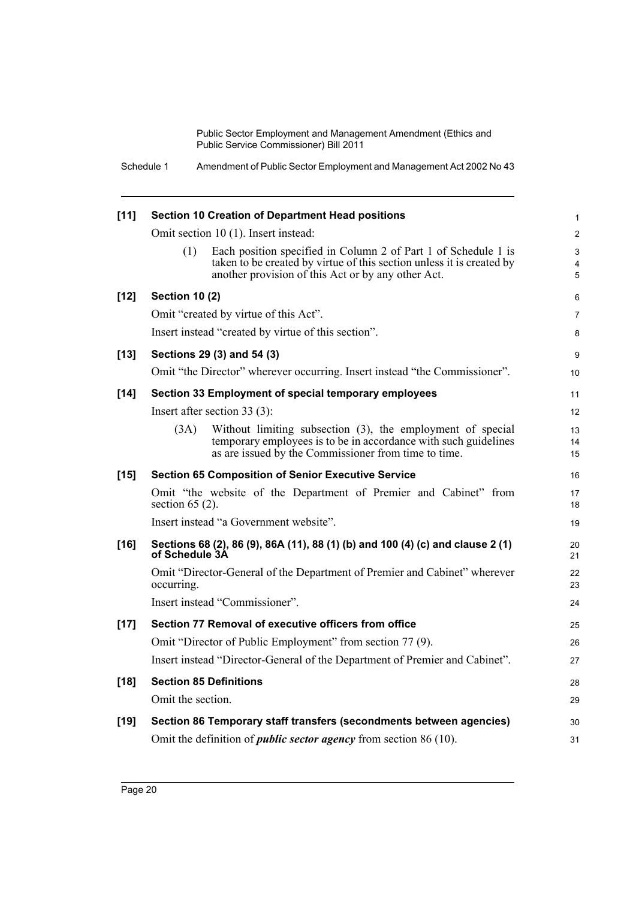| Schedule 1 | Amendment of Public Sector Employment and Management Act 2002 No 43 |
|------------|---------------------------------------------------------------------|
|------------|---------------------------------------------------------------------|

| $[11]$ |                       | Section 10 Creation of Department Head positions                                                                                                                                              | 1                 |
|--------|-----------------------|-----------------------------------------------------------------------------------------------------------------------------------------------------------------------------------------------|-------------------|
|        |                       | Omit section 10 (1). Insert instead:                                                                                                                                                          | 2                 |
|        | (1)                   | Each position specified in Column 2 of Part 1 of Schedule 1 is<br>taken to be created by virtue of this section unless it is created by<br>another provision of this Act or by any other Act. | 3<br>4<br>5       |
| $[12]$ | <b>Section 10 (2)</b> |                                                                                                                                                                                               | 6                 |
|        |                       | Omit "created by virtue of this Act".                                                                                                                                                         | $\overline{7}$    |
|        |                       | Insert instead "created by virtue of this section".                                                                                                                                           | 8                 |
| $[13]$ |                       | Sections 29 (3) and 54 (3)                                                                                                                                                                    | 9                 |
|        |                       | Omit "the Director" wherever occurring. Insert instead "the Commissioner".                                                                                                                    | 10                |
| $[14]$ |                       | Section 33 Employment of special temporary employees                                                                                                                                          | 11                |
|        |                       | Insert after section $33(3)$ :                                                                                                                                                                | $12 \overline{ }$ |
|        | (3A)                  | Without limiting subsection (3), the employment of special<br>temporary employees is to be in accordance with such guidelines<br>as are issued by the Commissioner from time to time.         | 13<br>14<br>15    |
| $[15]$ |                       | <b>Section 65 Composition of Senior Executive Service</b>                                                                                                                                     | 16                |
|        | section $65(2)$ .     | Omit "the website of the Department of Premier and Cabinet" from                                                                                                                              | 17<br>18          |
|        |                       | Insert instead "a Government website".                                                                                                                                                        | 19                |
| $[16]$ | of Schedule 3A        | Sections 68 (2), 86 (9), 86A (11), 88 (1) (b) and 100 (4) (c) and clause 2 (1)                                                                                                                | 20<br>21          |
|        | occurring.            | Omit "Director-General of the Department of Premier and Cabinet" wherever                                                                                                                     | 22<br>23          |
|        |                       | Insert instead "Commissioner".                                                                                                                                                                | 24                |
| $[17]$ |                       | Section 77 Removal of executive officers from office                                                                                                                                          | 25                |
|        |                       | Omit "Director of Public Employment" from section 77 (9).                                                                                                                                     | 26                |
|        |                       | Insert instead "Director-General of the Department of Premier and Cabinet".                                                                                                                   | 27                |
| $[18]$ |                       | <b>Section 85 Definitions</b>                                                                                                                                                                 | 28                |
|        | Omit the section.     |                                                                                                                                                                                               | 29                |
| $[19]$ |                       | Section 86 Temporary staff transfers (secondments between agencies)                                                                                                                           | 30                |
|        |                       | Omit the definition of <i>public sector agency</i> from section 86 (10).                                                                                                                      | 31                |
|        |                       |                                                                                                                                                                                               |                   |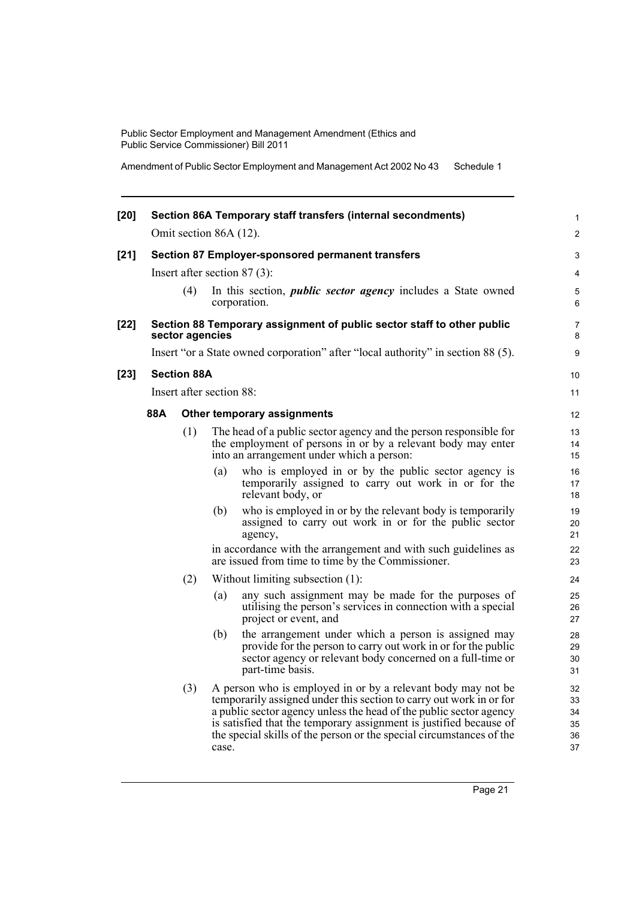Amendment of Public Sector Employment and Management Act 2002 No 43 Schedule 1

| $[20]$ |     |                    |                          | Section 86A Temporary staff transfers (internal secondments)                                                                                                                                                                                                                                                                                            | 1                                |
|--------|-----|--------------------|--------------------------|---------------------------------------------------------------------------------------------------------------------------------------------------------------------------------------------------------------------------------------------------------------------------------------------------------------------------------------------------------|----------------------------------|
|        |     |                    | Omit section 86A (12).   |                                                                                                                                                                                                                                                                                                                                                         | 2                                |
| $[21]$ |     |                    |                          | <b>Section 87 Employer-sponsored permanent transfers</b>                                                                                                                                                                                                                                                                                                | 3                                |
|        |     |                    |                          | Insert after section $87(3)$ :                                                                                                                                                                                                                                                                                                                          | 4                                |
|        |     | (4)                |                          | In this section, <i>public sector agency</i> includes a State owned<br>corporation.                                                                                                                                                                                                                                                                     | 5<br>6                           |
| $[22]$ |     | sector agencies    |                          | Section 88 Temporary assignment of public sector staff to other public                                                                                                                                                                                                                                                                                  | 7<br>8                           |
|        |     |                    |                          | Insert "or a State owned corporation" after "local authority" in section 88 (5).                                                                                                                                                                                                                                                                        | 9                                |
| $[23]$ |     | <b>Section 88A</b> |                          |                                                                                                                                                                                                                                                                                                                                                         | 10                               |
|        |     |                    | Insert after section 88: |                                                                                                                                                                                                                                                                                                                                                         | 11                               |
|        | 88A |                    |                          | Other temporary assignments                                                                                                                                                                                                                                                                                                                             | 12                               |
|        |     | (1)                |                          | The head of a public sector agency and the person responsible for<br>the employment of persons in or by a relevant body may enter<br>into an arrangement under which a person:                                                                                                                                                                          | 13<br>14<br>15                   |
|        |     |                    | (a)                      | who is employed in or by the public sector agency is<br>temporarily assigned to carry out work in or for the<br>relevant body, or                                                                                                                                                                                                                       | 16<br>17<br>18                   |
|        |     |                    | (b)                      | who is employed in or by the relevant body is temporarily<br>assigned to carry out work in or for the public sector<br>agency,                                                                                                                                                                                                                          | 19<br>20<br>21                   |
|        |     |                    |                          | in accordance with the arrangement and with such guidelines as<br>are issued from time to time by the Commissioner.                                                                                                                                                                                                                                     | 22<br>23                         |
|        |     | (2)                |                          | Without limiting subsection (1):                                                                                                                                                                                                                                                                                                                        | 24                               |
|        |     |                    | (a)                      | any such assignment may be made for the purposes of<br>utilising the person's services in connection with a special<br>project or event, and                                                                                                                                                                                                            | 25<br>26<br>27                   |
|        |     |                    | (b)                      | the arrangement under which a person is assigned may<br>provide for the person to carry out work in or for the public<br>sector agency or relevant body concerned on a full-time or<br>part-time basis.                                                                                                                                                 | 28<br>29<br>30<br>31             |
|        |     | (3)                | case.                    | A person who is employed in or by a relevant body may not be<br>temporarily assigned under this section to carry out work in or for<br>a public sector agency unless the head of the public sector agency<br>is satisfied that the temporary assignment is justified because of<br>the special skills of the person or the special circumstances of the | 32<br>33<br>34<br>35<br>36<br>37 |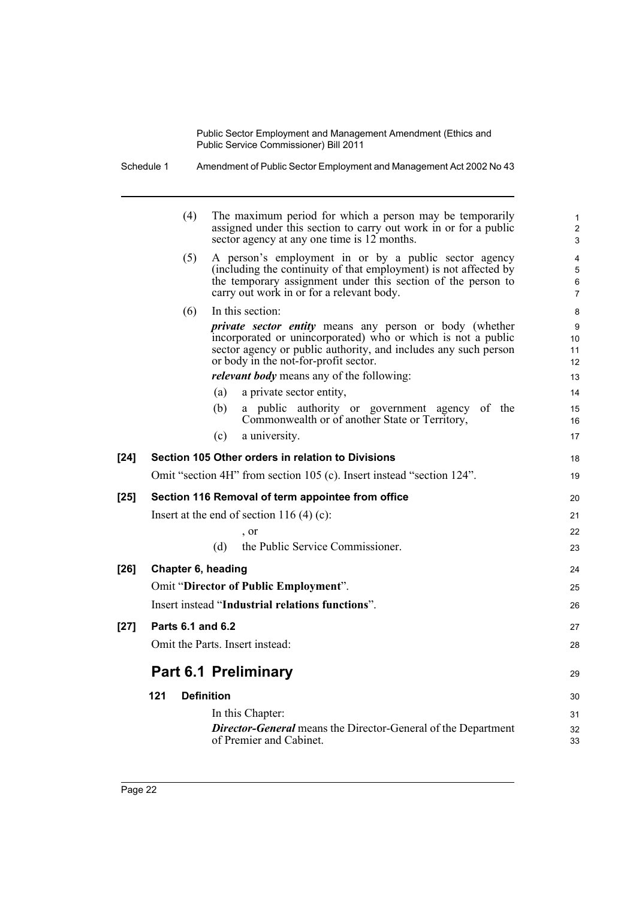|        | Schedule 1         | Amendment of Public Sector Employment and Management Act 2002 No 43                                                                                                                                                                                                                                                |                      |
|--------|--------------------|--------------------------------------------------------------------------------------------------------------------------------------------------------------------------------------------------------------------------------------------------------------------------------------------------------------------|----------------------|
|        | (4)                | The maximum period for which a person may be temporarily<br>assigned under this section to carry out work in or for a public<br>sector agency at any one time is 12 months.                                                                                                                                        |                      |
|        | (5)                | A person's employment in or by a public sector agency<br>(including the continuity of that employment) is not affected by<br>the temporary assignment under this section of the person to<br>carry out work in or for a relevant body.                                                                             |                      |
|        | (6)                | In this section:<br><i>private sector entity</i> means any person or body (whether<br>incorporated or unincorporated) who or which is not a public<br>sector agency or public authority, and includes any such person<br>or body in the not-for-profit sector.<br><i>relevant body</i> means any of the following: | 10<br>11<br>12<br>13 |
|        |                    | (a)<br>a private sector entity,                                                                                                                                                                                                                                                                                    | 14                   |
|        |                    | (b)<br>a public authority or government agency of the<br>Commonwealth or of another State or Territory,                                                                                                                                                                                                            | $15\,$<br>16         |
|        |                    | a university.<br>(c)                                                                                                                                                                                                                                                                                               | 17                   |
| $[24]$ |                    | Section 105 Other orders in relation to Divisions                                                                                                                                                                                                                                                                  | 18                   |
|        |                    | Omit "section 4H" from section 105 (c). Insert instead "section 124".                                                                                                                                                                                                                                              | 19                   |
| $[25]$ |                    | Section 116 Removal of term appointee from office                                                                                                                                                                                                                                                                  | 20                   |
|        |                    | Insert at the end of section 116 (4) (c):                                                                                                                                                                                                                                                                          | 21                   |
|        |                    | , or                                                                                                                                                                                                                                                                                                               | 22                   |
|        |                    | the Public Service Commissioner.<br>(d)                                                                                                                                                                                                                                                                            | 23                   |
| $[26]$ | Chapter 6, heading |                                                                                                                                                                                                                                                                                                                    | 24                   |
|        |                    | Omit "Director of Public Employment".                                                                                                                                                                                                                                                                              | 25                   |
|        |                    | Insert instead "Industrial relations functions".                                                                                                                                                                                                                                                                   | 26                   |
| $[27]$ | Parts 6.1 and 6.2  |                                                                                                                                                                                                                                                                                                                    | 27                   |
|        |                    | Omit the Parts. Insert instead:                                                                                                                                                                                                                                                                                    | 28                   |
|        |                    | <b>Part 6.1 Preliminary</b>                                                                                                                                                                                                                                                                                        | 29                   |
|        | 121                | <b>Definition</b>                                                                                                                                                                                                                                                                                                  | 30                   |
|        |                    | In this Chapter:                                                                                                                                                                                                                                                                                                   | 31                   |
|        |                    | <b>Director-General</b> means the Director-General of the Department<br>of Premier and Cabinet.                                                                                                                                                                                                                    | 32<br>33             |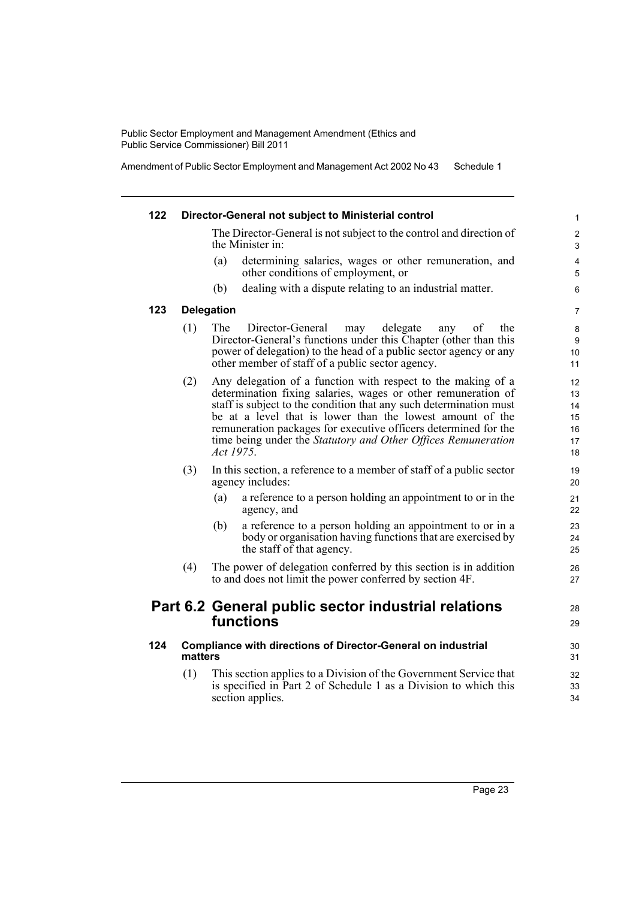Amendment of Public Sector Employment and Management Act 2002 No 43 Schedule 1

| 122 |         | Director-General not subject to Ministerial control                                                                                                                                                                                                                                                                                                                                                               | 1                                      |
|-----|---------|-------------------------------------------------------------------------------------------------------------------------------------------------------------------------------------------------------------------------------------------------------------------------------------------------------------------------------------------------------------------------------------------------------------------|----------------------------------------|
|     |         | The Director-General is not subject to the control and direction of<br>the Minister in:                                                                                                                                                                                                                                                                                                                           | $\overline{\mathbf{c}}$<br>3           |
|     |         | determining salaries, wages or other remuneration, and<br>(a)<br>other conditions of employment, or                                                                                                                                                                                                                                                                                                               | 4<br>5                                 |
|     |         | dealing with a dispute relating to an industrial matter.<br>(b)                                                                                                                                                                                                                                                                                                                                                   | 6                                      |
| 123 |         | <b>Delegation</b>                                                                                                                                                                                                                                                                                                                                                                                                 | $\overline{7}$                         |
|     | (1)     | The<br>delegate<br>Director-General<br>of<br>the<br>any<br>may<br>Director-General's functions under this Chapter (other than this<br>power of delegation) to the head of a public sector agency or any<br>other member of staff of a public sector agency.                                                                                                                                                       | 8<br>9<br>10<br>11                     |
|     | (2)     | Any delegation of a function with respect to the making of a<br>determination fixing salaries, wages or other remuneration of<br>staff is subject to the condition that any such determination must<br>be at a level that is lower than the lowest amount of the<br>remuneration packages for executive officers determined for the<br>time being under the Statutory and Other Offices Remuneration<br>Act 1975. | 12<br>13<br>14<br>15<br>16<br>17<br>18 |
|     | (3)     | In this section, a reference to a member of staff of a public sector<br>agency includes:                                                                                                                                                                                                                                                                                                                          | 19<br>20                               |
|     |         | a reference to a person holding an appointment to or in the<br>(a)<br>agency, and                                                                                                                                                                                                                                                                                                                                 | 21<br>22                               |
|     |         | a reference to a person holding an appointment to or in a<br>(b)<br>body or organisation having functions that are exercised by<br>the staff of that agency.                                                                                                                                                                                                                                                      | 23<br>24<br>25                         |
|     | (4)     | The power of delegation conferred by this section is in addition<br>to and does not limit the power conferred by section 4F.                                                                                                                                                                                                                                                                                      | 26<br>27                               |
|     |         | Part 6.2 General public sector industrial relations<br>functions                                                                                                                                                                                                                                                                                                                                                  | 28<br>29                               |
| 124 | matters | Compliance with directions of Director-General on industrial                                                                                                                                                                                                                                                                                                                                                      | 30<br>31                               |
|     | (1)     | This section applies to a Division of the Government Service that<br>is specified in Part 2 of Schedule 1 as a Division to which this<br>section applies.                                                                                                                                                                                                                                                         | 32<br>33<br>34                         |
|     |         |                                                                                                                                                                                                                                                                                                                                                                                                                   |                                        |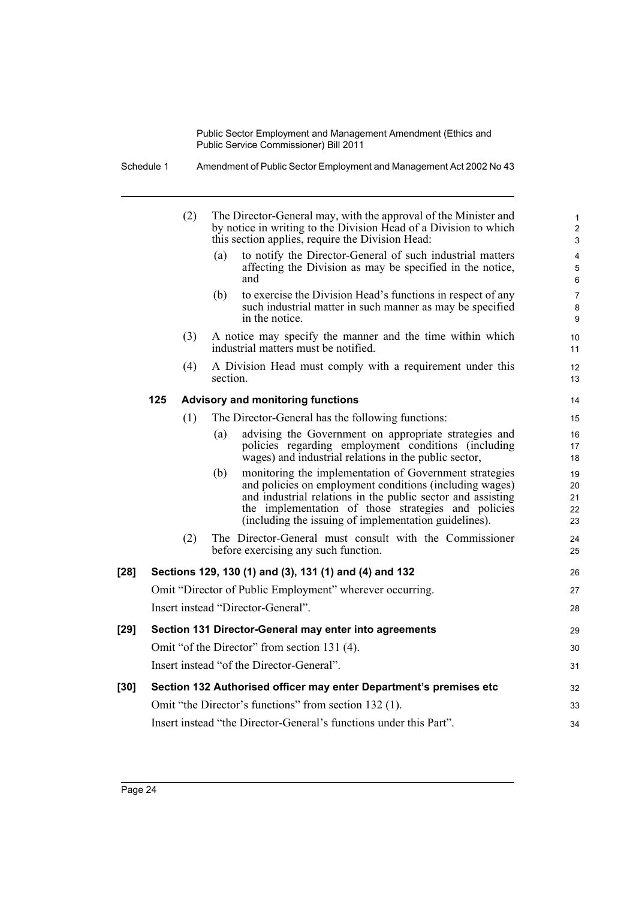Schedule 1 Amendment of Public Sector Employment and Management Act 2002 No 43

|        |     | (2) | The Director-General may, with the approval of the Minister and<br>by notice in writing to the Division Head of a Division to which<br>this section applies, require the Division Head:                                                                                                                 | $\mathbf{1}$<br>$\overline{c}$<br>3 |
|--------|-----|-----|---------------------------------------------------------------------------------------------------------------------------------------------------------------------------------------------------------------------------------------------------------------------------------------------------------|-------------------------------------|
|        |     |     | to notify the Director-General of such industrial matters<br>(a)<br>affecting the Division as may be specified in the notice,<br>and                                                                                                                                                                    | 4<br>5<br>6                         |
|        |     |     | to exercise the Division Head's functions in respect of any<br>(b)<br>such industrial matter in such manner as may be specified<br>in the notice.                                                                                                                                                       | $\overline{7}$<br>8<br>9            |
|        |     | (3) | A notice may specify the manner and the time within which<br>industrial matters must be notified.                                                                                                                                                                                                       | 10<br>11                            |
|        |     | (4) | A Division Head must comply with a requirement under this<br>section.                                                                                                                                                                                                                                   | 12<br>13                            |
|        | 125 |     | <b>Advisory and monitoring functions</b>                                                                                                                                                                                                                                                                | 14                                  |
|        |     | (1) | The Director-General has the following functions:                                                                                                                                                                                                                                                       | 15                                  |
|        |     |     | advising the Government on appropriate strategies and<br>(a)<br>policies regarding employment conditions (including<br>wages) and industrial relations in the public sector,                                                                                                                            | 16<br>17<br>18                      |
|        |     |     | monitoring the implementation of Government strategies<br>(b)<br>and policies on employment conditions (including wages)<br>and industrial relations in the public sector and assisting<br>the implementation of those strategies and policies<br>(including the issuing of implementation guidelines). | 19<br>20<br>21<br>22<br>23          |
|        |     | (2) | The Director-General must consult with the Commissioner<br>before exercising any such function.                                                                                                                                                                                                         | 24<br>25                            |
| $[28]$ |     |     | Sections 129, 130 (1) and (3), 131 (1) and (4) and 132                                                                                                                                                                                                                                                  | 26                                  |
|        |     |     | Omit "Director of Public Employment" wherever occurring.                                                                                                                                                                                                                                                | 27                                  |
|        |     |     | Insert instead "Director-General".                                                                                                                                                                                                                                                                      | 28                                  |
| [29]   |     |     | Section 131 Director-General may enter into agreements                                                                                                                                                                                                                                                  | 29                                  |
|        |     |     | Omit "of the Director" from section 131 (4).                                                                                                                                                                                                                                                            | 30                                  |
|        |     |     | Insert instead "of the Director-General".                                                                                                                                                                                                                                                               | 31                                  |
| [30]   |     |     | Section 132 Authorised officer may enter Department's premises etc                                                                                                                                                                                                                                      | 32                                  |
|        |     |     | Omit "the Director's functions" from section 132 (1).                                                                                                                                                                                                                                                   | 33                                  |
|        |     |     | Insert instead "the Director-General's functions under this Part".                                                                                                                                                                                                                                      | 34                                  |
|        |     |     |                                                                                                                                                                                                                                                                                                         |                                     |

Page 24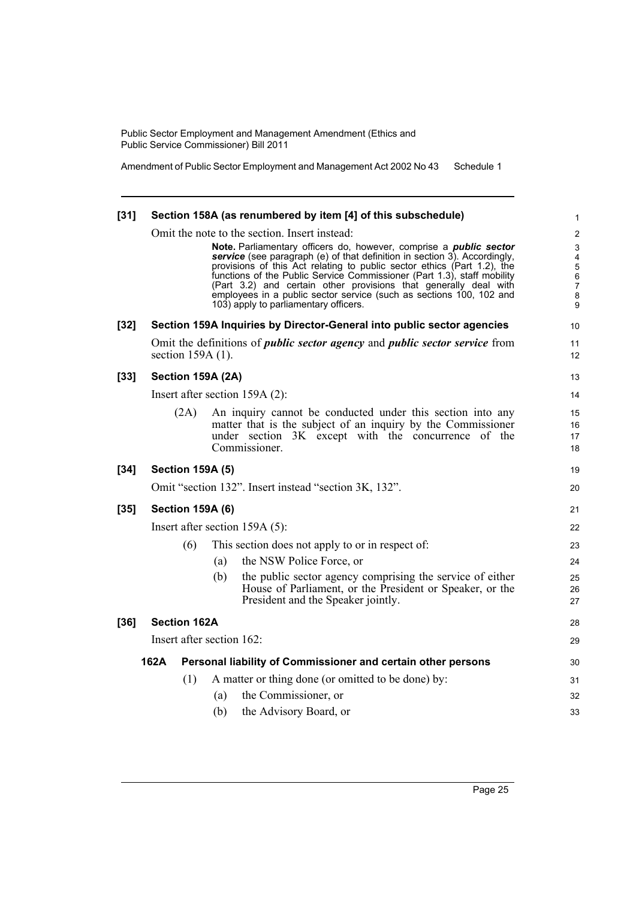Amendment of Public Sector Employment and Management Act 2002 No 43 Schedule 1

| $[31]$ |                           |      |     | Section 158A (as renumbered by item [4] of this subschedule)                                                                                                                                                                                                                                                                                                                                                                                                                                                                                      | 1                                                                                                                            |
|--------|---------------------------|------|-----|---------------------------------------------------------------------------------------------------------------------------------------------------------------------------------------------------------------------------------------------------------------------------------------------------------------------------------------------------------------------------------------------------------------------------------------------------------------------------------------------------------------------------------------------------|------------------------------------------------------------------------------------------------------------------------------|
|        |                           |      |     | Omit the note to the section. Insert instead:<br>Note. Parliamentary officers do, however, comprise a <i>public</i> sector<br>service (see paragraph (e) of that definition in section 3). Accordingly,<br>provisions of this Act relating to public sector ethics (Part 1.2), the<br>functions of the Public Service Commissioner (Part 1.3), staff mobility<br>(Part 3.2) and certain other provisions that generally deal with<br>employees in a public sector service (such as sections 100, 102 and<br>103) apply to parliamentary officers. | $\overline{2}$<br>$\ensuremath{\mathsf{3}}$<br>$\overline{\mathbf{4}}$<br>$\sqrt{5}$<br>6<br>$\boldsymbol{7}$<br>$\bf8$<br>9 |
| $[32]$ |                           |      |     | Section 159A Inquiries by Director-General into public sector agencies                                                                                                                                                                                                                                                                                                                                                                                                                                                                            | 10                                                                                                                           |
|        | section $159A(1)$ .       |      |     | Omit the definitions of <i>public sector agency</i> and <i>public sector service</i> from                                                                                                                                                                                                                                                                                                                                                                                                                                                         | 11<br>12                                                                                                                     |
| $[33]$ | Section 159A (2A)         |      |     |                                                                                                                                                                                                                                                                                                                                                                                                                                                                                                                                                   | 13                                                                                                                           |
|        |                           |      |     | Insert after section 159A (2):                                                                                                                                                                                                                                                                                                                                                                                                                                                                                                                    | 14                                                                                                                           |
|        |                           | (2A) |     | An inquiry cannot be conducted under this section into any<br>matter that is the subject of an inquiry by the Commissioner<br>under section 3K except with the concurrence of the<br>Commissioner.                                                                                                                                                                                                                                                                                                                                                | 15<br>16<br>17<br>18                                                                                                         |
| $[34]$ | <b>Section 159A (5)</b>   |      |     |                                                                                                                                                                                                                                                                                                                                                                                                                                                                                                                                                   | 19                                                                                                                           |
|        |                           |      |     | Omit "section 132". Insert instead "section 3K, 132".                                                                                                                                                                                                                                                                                                                                                                                                                                                                                             | 20                                                                                                                           |
| $[35]$ | <b>Section 159A (6)</b>   |      |     |                                                                                                                                                                                                                                                                                                                                                                                                                                                                                                                                                   | 21                                                                                                                           |
|        |                           |      |     | Insert after section $159A(5)$ :                                                                                                                                                                                                                                                                                                                                                                                                                                                                                                                  | 22                                                                                                                           |
|        |                           | (6)  |     | This section does not apply to or in respect of:                                                                                                                                                                                                                                                                                                                                                                                                                                                                                                  | 23                                                                                                                           |
|        |                           |      | (a) | the NSW Police Force, or                                                                                                                                                                                                                                                                                                                                                                                                                                                                                                                          | 24                                                                                                                           |
|        |                           |      | (b) | the public sector agency comprising the service of either<br>House of Parliament, or the President or Speaker, or the<br>President and the Speaker jointly.                                                                                                                                                                                                                                                                                                                                                                                       | 25<br>26<br>27                                                                                                               |
| $[36]$ | <b>Section 162A</b>       |      |     |                                                                                                                                                                                                                                                                                                                                                                                                                                                                                                                                                   | 28                                                                                                                           |
|        |                           |      |     |                                                                                                                                                                                                                                                                                                                                                                                                                                                                                                                                                   |                                                                                                                              |
|        | Insert after section 162: |      |     |                                                                                                                                                                                                                                                                                                                                                                                                                                                                                                                                                   | 29                                                                                                                           |
|        | 162A                      |      |     | Personal liability of Commissioner and certain other persons                                                                                                                                                                                                                                                                                                                                                                                                                                                                                      | 30                                                                                                                           |
|        |                           | (1)  |     | A matter or thing done (or omitted to be done) by:                                                                                                                                                                                                                                                                                                                                                                                                                                                                                                | 31                                                                                                                           |
|        |                           |      | (a) | the Commissioner, or                                                                                                                                                                                                                                                                                                                                                                                                                                                                                                                              | 32                                                                                                                           |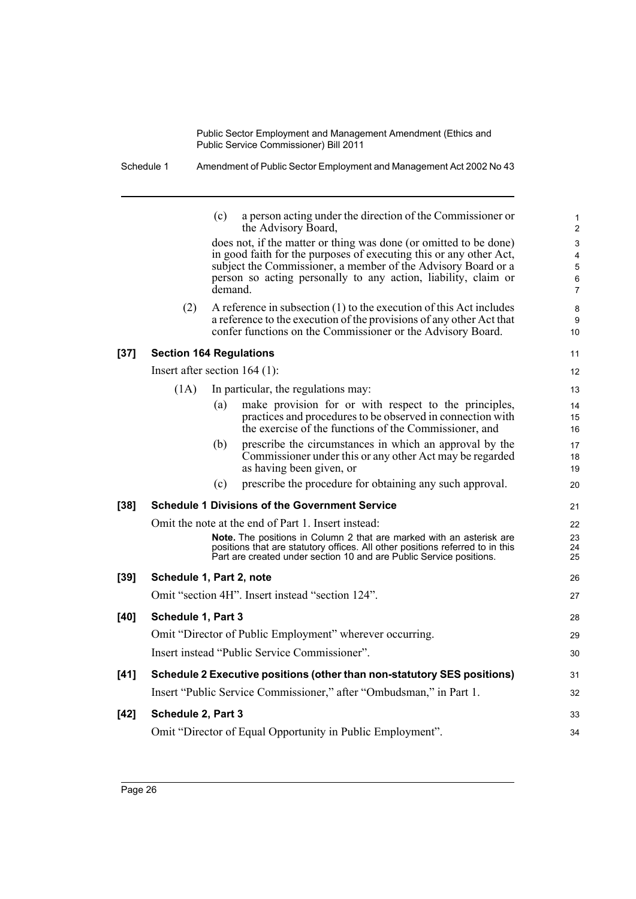|        |                                 | (c)     | a person acting under the direction of the Commissioner or<br>the Advisory Board,                                                                                                                                                                                          | 1<br>2                                                             |
|--------|---------------------------------|---------|----------------------------------------------------------------------------------------------------------------------------------------------------------------------------------------------------------------------------------------------------------------------------|--------------------------------------------------------------------|
|        |                                 | demand. | does not, if the matter or thing was done (or omitted to be done)<br>in good faith for the purposes of executing this or any other Act,<br>subject the Commissioner, a member of the Advisory Board or a<br>person so acting personally to any action, liability, claim or | 3<br>$\overline{\mathbf{4}}$<br>$\mathbf 5$<br>6<br>$\overline{7}$ |
|        | (2)                             |         | A reference in subsection $(1)$ to the execution of this Act includes<br>a reference to the execution of the provisions of any other Act that<br>confer functions on the Commissioner or the Advisory Board.                                                               | 8<br>9<br>10                                                       |
| $[37]$ | <b>Section 164 Regulations</b>  |         |                                                                                                                                                                                                                                                                            | 11                                                                 |
|        | Insert after section $164$ (1): |         |                                                                                                                                                                                                                                                                            | $12 \overline{ }$                                                  |
|        | (1A)                            |         | In particular, the regulations may:                                                                                                                                                                                                                                        | 13                                                                 |
|        |                                 | (a)     | make provision for or with respect to the principles,<br>practices and procedures to be observed in connection with<br>the exercise of the functions of the Commissioner, and                                                                                              | 14<br>15<br>16                                                     |
|        |                                 | (b)     | prescribe the circumstances in which an approval by the<br>Commissioner under this or any other Act may be regarded<br>as having been given, or                                                                                                                            | 17<br>18<br>19                                                     |
|        |                                 | (c)     | prescribe the procedure for obtaining any such approval.                                                                                                                                                                                                                   | 20                                                                 |
| $[38]$ |                                 |         | <b>Schedule 1 Divisions of the Government Service</b>                                                                                                                                                                                                                      | 21                                                                 |
|        |                                 |         | Omit the note at the end of Part 1. Insert instead:                                                                                                                                                                                                                        | 22                                                                 |
|        |                                 |         | Note. The positions in Column 2 that are marked with an asterisk are<br>positions that are statutory offices. All other positions referred to in this<br>Part are created under section 10 and are Public Service positions.                                               | 23<br>24<br>25                                                     |
| $[39]$ | Schedule 1, Part 2, note        |         |                                                                                                                                                                                                                                                                            | 26                                                                 |
|        |                                 |         | Omit "section 4H". Insert instead "section 124".                                                                                                                                                                                                                           | 27                                                                 |
| $[40]$ | Schedule 1, Part 3              |         |                                                                                                                                                                                                                                                                            | 28                                                                 |
|        |                                 |         | Omit "Director of Public Employment" wherever occurring.                                                                                                                                                                                                                   | 29                                                                 |
|        |                                 |         | Insert instead "Public Service Commissioner".                                                                                                                                                                                                                              | 30                                                                 |
| $[41]$ |                                 |         | Schedule 2 Executive positions (other than non-statutory SES positions)                                                                                                                                                                                                    | 31                                                                 |
|        |                                 |         | Insert "Public Service Commissioner," after "Ombudsman," in Part 1.                                                                                                                                                                                                        | 32                                                                 |
| $[42]$ | Schedule 2, Part 3              |         |                                                                                                                                                                                                                                                                            | 33                                                                 |
|        |                                 |         | Omit "Director of Equal Opportunity in Public Employment".                                                                                                                                                                                                                 | 34                                                                 |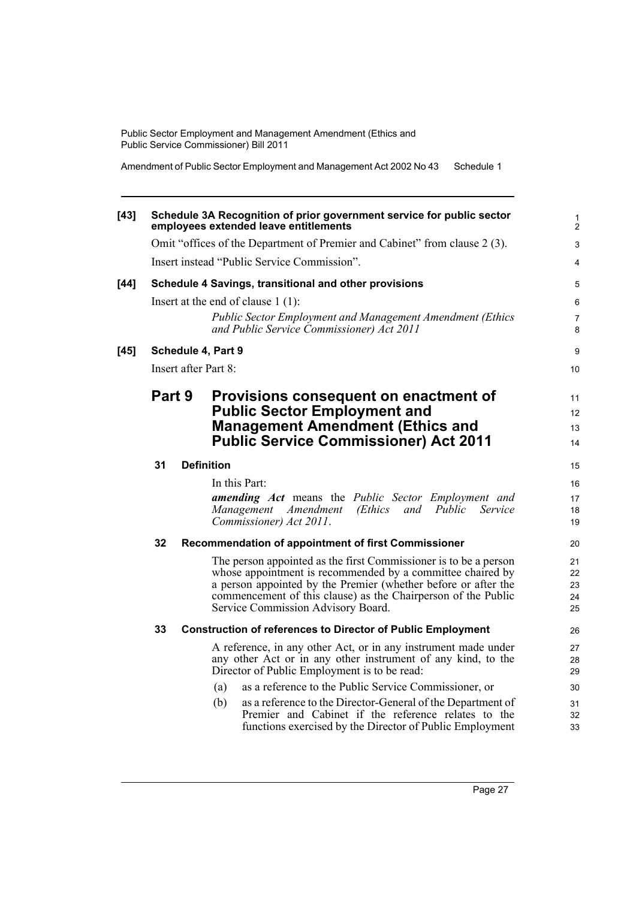Amendment of Public Sector Employment and Management Act 2002 No 43 Schedule 1

| $[43]$ |        |  | Schedule 3A Recognition of prior government service for public sector<br>employees extended leave entitlements               | 1<br>$\overline{2}$ |
|--------|--------|--|------------------------------------------------------------------------------------------------------------------------------|---------------------|
|        |        |  | Omit "offices of the Department of Premier and Cabinet" from clause 2(3).                                                    | $\mathbf{3}$        |
|        |        |  | Insert instead "Public Service Commission".                                                                                  | $\overline{4}$      |
| $[44]$ |        |  | Schedule 4 Savings, transitional and other provisions                                                                        | 5                   |
|        |        |  | Insert at the end of clause $1(1)$ :                                                                                         | 6                   |
|        |        |  | <b>Public Sector Employment and Management Amendment (Ethics</b><br>and Public Service Commissioner) Act 2011                | $\overline{7}$<br>8 |
| $[45]$ |        |  | Schedule 4, Part 9                                                                                                           | 9                   |
|        |        |  | Insert after Part 8:                                                                                                         | 10                  |
|        | Part 9 |  | Provisions consequent on enactment of<br><b>Public Sector Employment and</b>                                                 |                     |
|        |        |  | <b>Management Amendment (Ethics and</b>                                                                                      | 12<br>13            |
|        |        |  | <b>Public Service Commissioner) Act 2011</b>                                                                                 | 14                  |
|        | 31     |  | <b>Definition</b>                                                                                                            | 15                  |
|        |        |  | In this Part:                                                                                                                | 16                  |
|        |        |  | amending Act means the Public Sector Employment and                                                                          | 17                  |
|        |        |  | Public<br>Management Amendment<br>(Ethics<br>and<br>Service<br>Commissioner) Act 2011.                                       | 18<br>19            |
|        |        |  |                                                                                                                              |                     |
|        | 32     |  | Recommendation of appointment of first Commissioner                                                                          | 20                  |
|        |        |  | The person appointed as the first Commissioner is to be a person                                                             | 21                  |
|        |        |  | whose appointment is recommended by a committee chaired by<br>a person appointed by the Premier (whether before or after the | 22<br>23            |
|        |        |  | commencement of this clause) as the Chairperson of the Public                                                                | 24                  |
|        |        |  | Service Commission Advisory Board.                                                                                           | 25                  |
|        | 33     |  | <b>Construction of references to Director of Public Employment</b>                                                           | 26                  |
|        |        |  | A reference, in any other Act, or in any instrument made under                                                               | 27                  |
|        |        |  | any other Act or in any other instrument of any kind, to the                                                                 | 28                  |
|        |        |  | Director of Public Employment is to be read:                                                                                 | 29                  |
|        |        |  | as a reference to the Public Service Commissioner, or<br>(a)                                                                 | 30                  |
|        |        |  | (b)<br>as a reference to the Director-General of the Department of<br>Premier and Cabinet if the reference relates to the    | 31<br>32            |
|        |        |  | functions exercised by the Director of Public Employment                                                                     | 33                  |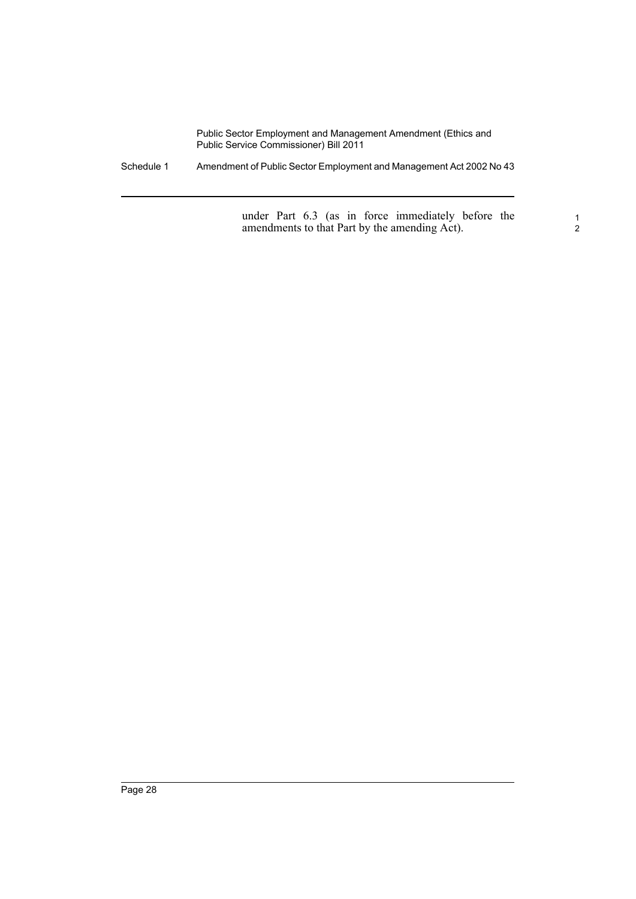Schedule 1 Amendment of Public Sector Employment and Management Act 2002 No 43

under Part 6.3 (as in force immediately before the amendments to that Part by the amending Act).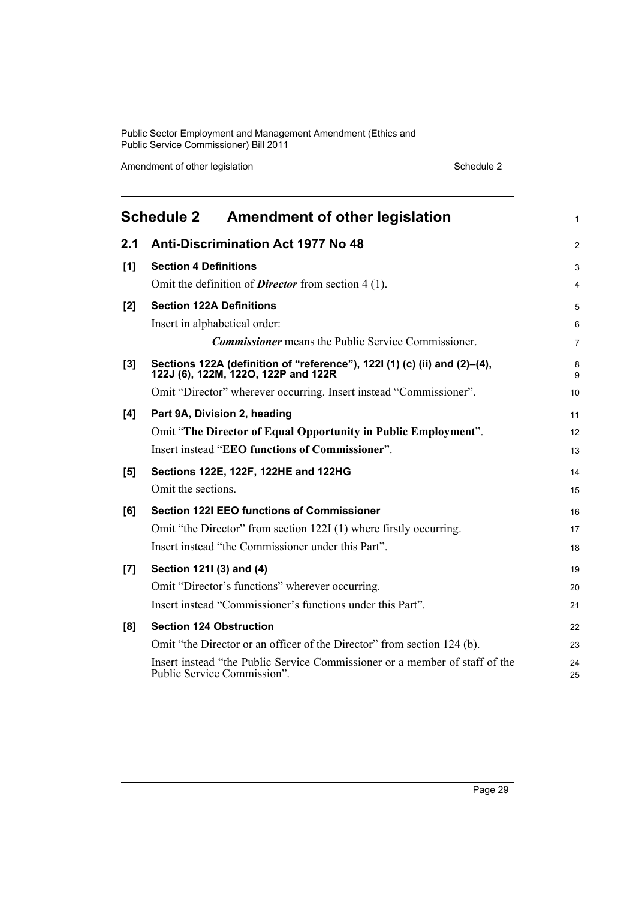Amendment of other legislation Schedule 2

<span id="page-34-0"></span>

|       | Schedule 2 Amendment of other legislation                                                                        | 1              |
|-------|------------------------------------------------------------------------------------------------------------------|----------------|
| 2.1   | <b>Anti-Discrimination Act 1977 No 48</b>                                                                        | 2              |
| [1]   | <b>Section 4 Definitions</b>                                                                                     | 3              |
|       | Omit the definition of <b>Director</b> from section 4 (1).                                                       | 4              |
| [2]   | <b>Section 122A Definitions</b>                                                                                  | 5              |
|       | Insert in alphabetical order:                                                                                    | 6              |
|       | <b>Commissioner</b> means the Public Service Commissioner.                                                       | $\overline{7}$ |
| $[3]$ | Sections 122A (definition of "reference"), 122I (1) (c) (ii) and (2)-(4),<br>122J (6), 122M, 122O, 122P and 122R | 8<br>9         |
|       | Omit "Director" wherever occurring. Insert instead "Commissioner".                                               | 10             |
| [4]   | Part 9A, Division 2, heading                                                                                     | 11             |
|       | Omit "The Director of Equal Opportunity in Public Employment".                                                   | 12             |
|       | Insert instead "EEO functions of Commissioner".                                                                  | 13             |
| [5]   | Sections 122E, 122F, 122HE and 122HG                                                                             | 14             |
|       | Omit the sections.                                                                                               | 15             |
| [6]   | <b>Section 122I EEO functions of Commissioner</b>                                                                | 16             |
|       | Omit "the Director" from section 122I (1) where firstly occurring.                                               | 17             |
|       | Insert instead "the Commissioner under this Part".                                                               | 18             |
| [7]   | Section 1211 (3) and (4)                                                                                         | 19             |
|       | Omit "Director's functions" wherever occurring.                                                                  | 20             |
|       | Insert instead "Commissioner's functions under this Part".                                                       | 21             |
| [8]   | <b>Section 124 Obstruction</b>                                                                                   | 22             |
|       | Omit "the Director or an officer of the Director" from section 124 (b).                                          | 23             |
|       | Insert instead "the Public Service Commissioner or a member of staff of the<br>Public Service Commission".       | 24<br>25       |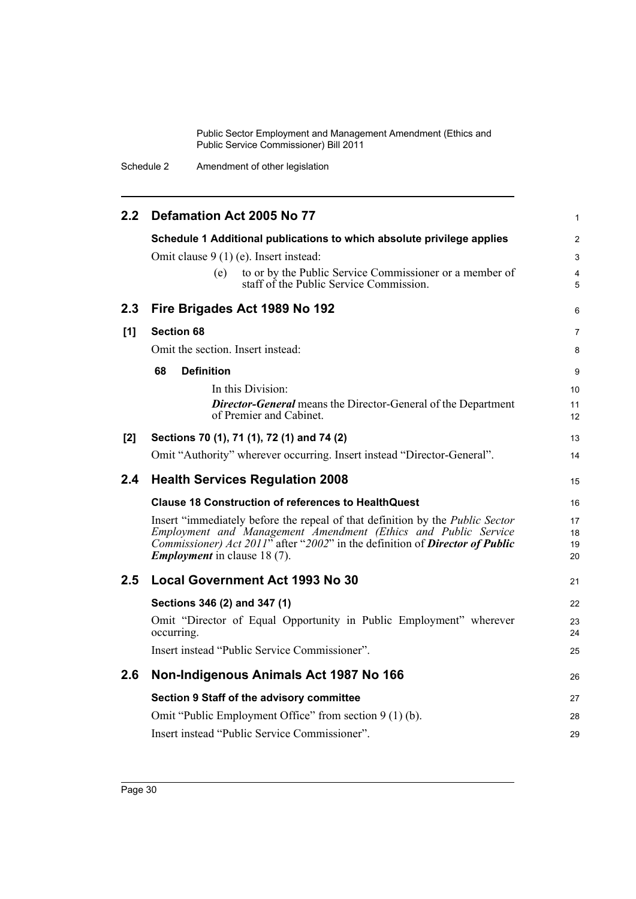Schedule 2 Amendment of other legislation

| 2.2 <sub>2</sub> | Defamation Act 2005 No 77                                                                                                  | 1                   |
|------------------|----------------------------------------------------------------------------------------------------------------------------|---------------------|
|                  | Schedule 1 Additional publications to which absolute privilege applies                                                     | $\overline{2}$      |
|                  | Omit clause 9 (1) (e). Insert instead:                                                                                     | 3                   |
|                  | to or by the Public Service Commissioner or a member of<br>(e)<br>staff of the Public Service Commission.                  | $\overline{4}$<br>5 |
| 2.3              | Fire Brigades Act 1989 No 192                                                                                              | 6                   |
| [1]              | <b>Section 68</b>                                                                                                          | $\overline{7}$      |
|                  | Omit the section. Insert instead:                                                                                          | 8                   |
|                  | 68<br><b>Definition</b>                                                                                                    | 9                   |
|                  | In this Division:                                                                                                          | 10                  |
|                  | <b>Director-General</b> means the Director-General of the Department                                                       | 11                  |
|                  | of Premier and Cabinet.                                                                                                    | 12                  |
| [2]              | Sections 70 (1), 71 (1), 72 (1) and 74 (2)                                                                                 | 13                  |
|                  | Omit "Authority" wherever occurring. Insert instead "Director-General".                                                    | 14                  |
|                  |                                                                                                                            |                     |
| 2.4              | <b>Health Services Regulation 2008</b>                                                                                     | 15                  |
|                  | <b>Clause 18 Construction of references to HealthQuest</b>                                                                 | 16                  |
|                  | Insert "immediately before the repeal of that definition by the <i>Public Sector</i>                                       | 17                  |
|                  | Employment and Management Amendment (Ethics and Public Service                                                             | 18                  |
|                  | Commissioner) Act 2011" after "2002" in the definition of <b>Director of Public</b><br><b>Employment</b> in clause 18 (7). | 19<br>20            |
| 2.5              | <b>Local Government Act 1993 No 30</b>                                                                                     | 21                  |
|                  |                                                                                                                            | 22                  |
|                  | Sections 346 (2) and 347 (1)<br>Omit "Director of Equal Opportunity in Public Employment" wherever<br>occurring.           | 23<br>24            |
|                  | Insert instead "Public Service Commissioner".                                                                              | 25                  |
| 2.6              | Non-Indigenous Animals Act 1987 No 166                                                                                     | 26                  |
|                  |                                                                                                                            |                     |
|                  | Section 9 Staff of the advisory committee                                                                                  | 27                  |
|                  | Omit "Public Employment Office" from section 9 (1) (b).<br>Insert instead "Public Service Commissioner".                   | 28<br>29            |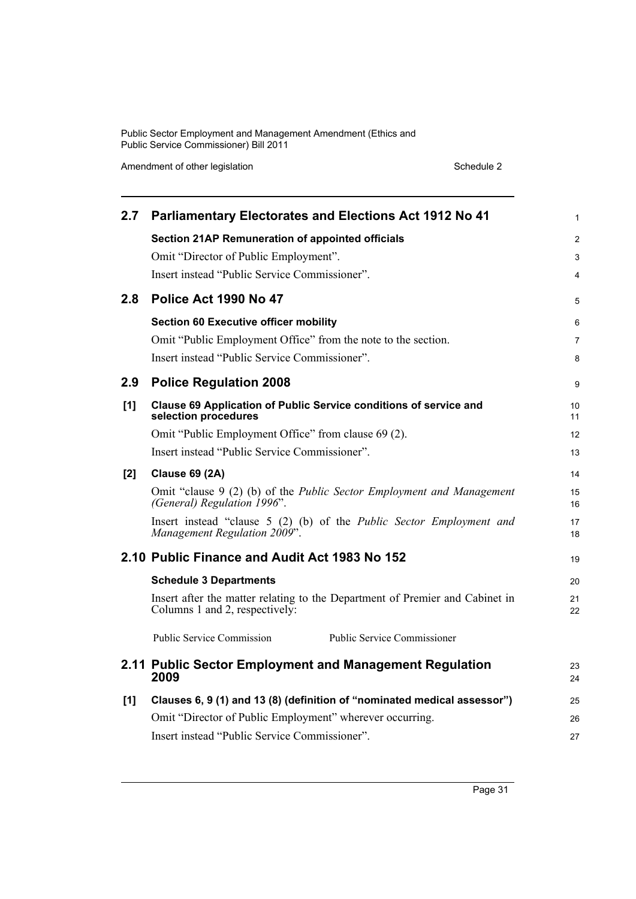Amendment of other legislation Schedule 2

| 2.7 | <b>Parliamentary Electorates and Elections Act 1912 No 41</b>                                                  | $\mathbf{1}$   |
|-----|----------------------------------------------------------------------------------------------------------------|----------------|
|     | <b>Section 21AP Remuneration of appointed officials</b>                                                        | 2              |
|     | Omit "Director of Public Employment".                                                                          | 3              |
|     | Insert instead "Public Service Commissioner".                                                                  | 4              |
| 2.8 | Police Act 1990 No 47                                                                                          | 5              |
|     | <b>Section 60 Executive officer mobility</b>                                                                   | 6              |
|     | Omit "Public Employment Office" from the note to the section.                                                  | $\overline{7}$ |
|     | Insert instead "Public Service Commissioner".                                                                  | 8              |
| 2.9 | <b>Police Regulation 2008</b>                                                                                  | 9              |
| [1] | Clause 69 Application of Public Service conditions of service and<br>selection procedures                      | 10<br>11       |
|     | Omit "Public Employment Office" from clause 69 (2).                                                            | 12             |
|     | Insert instead "Public Service Commissioner".                                                                  | 13             |
| [2] | <b>Clause 69 (2A)</b>                                                                                          | 14             |
|     | Omit "clause 9 (2) (b) of the <i>Public Sector Employment and Management</i><br>(General) Regulation 1996".    | 15<br>16       |
|     | Insert instead "clause 5 (2) (b) of the Public Sector Employment and<br>Management Regulation 2009".           | 17<br>18       |
|     | 2.10 Public Finance and Audit Act 1983 No 152                                                                  | 19             |
|     | <b>Schedule 3 Departments</b>                                                                                  | 20             |
|     | Insert after the matter relating to the Department of Premier and Cabinet in<br>Columns 1 and 2, respectively: | 21<br>22       |
|     | <b>Public Service Commission</b><br><b>Public Service Commissioner</b>                                         |                |
|     | 2.11 Public Sector Employment and Management Regulation<br>2009                                                | 23<br>24       |
| [1] | Clauses 6, 9 (1) and 13 (8) (definition of "nominated medical assessor")                                       | 25             |
|     | Omit "Director of Public Employment" wherever occurring.                                                       | 26             |
|     | Insert instead "Public Service Commissioner".                                                                  | 27             |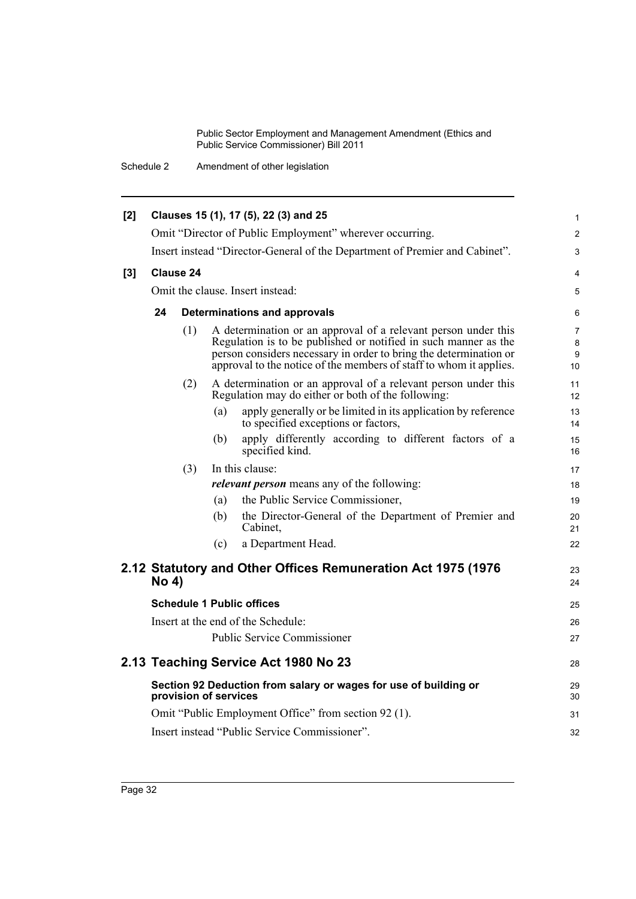Schedule 2 Amendment of other legislation

| [2] |              |                       |     | Clauses 15 (1), 17 (5), 22 (3) and 25                                                                                                                                                                                                                                        | $\mathbf{1}$                   |
|-----|--------------|-----------------------|-----|------------------------------------------------------------------------------------------------------------------------------------------------------------------------------------------------------------------------------------------------------------------------------|--------------------------------|
|     |              |                       |     | Omit "Director of Public Employment" wherever occurring.                                                                                                                                                                                                                     | $\overline{2}$                 |
|     |              |                       |     | Insert instead "Director-General of the Department of Premier and Cabinet".                                                                                                                                                                                                  | 3                              |
| [3] |              | Clause 24             |     |                                                                                                                                                                                                                                                                              | 4                              |
|     |              |                       |     | Omit the clause. Insert instead:                                                                                                                                                                                                                                             | 5                              |
|     | 24           |                       |     | Determinations and approvals                                                                                                                                                                                                                                                 | 6                              |
|     |              | (1)                   |     | A determination or an approval of a relevant person under this<br>Regulation is to be published or notified in such manner as the<br>person considers necessary in order to bring the determination or<br>approval to the notice of the members of staff to whom it applies. | $\overline{7}$<br>8<br>9<br>10 |
|     |              | (2)                   |     | A determination or an approval of a relevant person under this<br>Regulation may do either or both of the following:                                                                                                                                                         | 11<br>12                       |
|     |              |                       | (a) | apply generally or be limited in its application by reference<br>to specified exceptions or factors,                                                                                                                                                                         | 13<br>14                       |
|     |              |                       | (b) | apply differently according to different factors of a<br>specified kind.                                                                                                                                                                                                     | 15<br>16                       |
|     |              | (3)                   |     | In this clause:                                                                                                                                                                                                                                                              | 17                             |
|     |              |                       |     | <i>relevant person</i> means any of the following:                                                                                                                                                                                                                           | 18                             |
|     |              |                       | (a) | the Public Service Commissioner,                                                                                                                                                                                                                                             | 19                             |
|     |              |                       | (b) | the Director-General of the Department of Premier and<br>Cabinet,                                                                                                                                                                                                            | 20<br>21                       |
|     |              |                       | (c) | a Department Head.                                                                                                                                                                                                                                                           | 22                             |
|     | <b>No 4)</b> |                       |     | 2.12 Statutory and Other Offices Remuneration Act 1975 (1976)                                                                                                                                                                                                                | 23<br>24                       |
|     |              |                       |     | <b>Schedule 1 Public offices</b>                                                                                                                                                                                                                                             | 25                             |
|     |              |                       |     | Insert at the end of the Schedule:                                                                                                                                                                                                                                           | 26                             |
|     |              |                       |     | <b>Public Service Commissioner</b>                                                                                                                                                                                                                                           | 27                             |
|     |              |                       |     | 2.13 Teaching Service Act 1980 No 23                                                                                                                                                                                                                                         | 28                             |
|     |              | provision of services |     | Section 92 Deduction from salary or wages for use of building or                                                                                                                                                                                                             | 29<br>30                       |
|     |              |                       |     | Omit "Public Employment Office" from section 92 (1).                                                                                                                                                                                                                         | 31                             |
|     |              |                       |     | Insert instead "Public Service Commissioner".                                                                                                                                                                                                                                | 32                             |